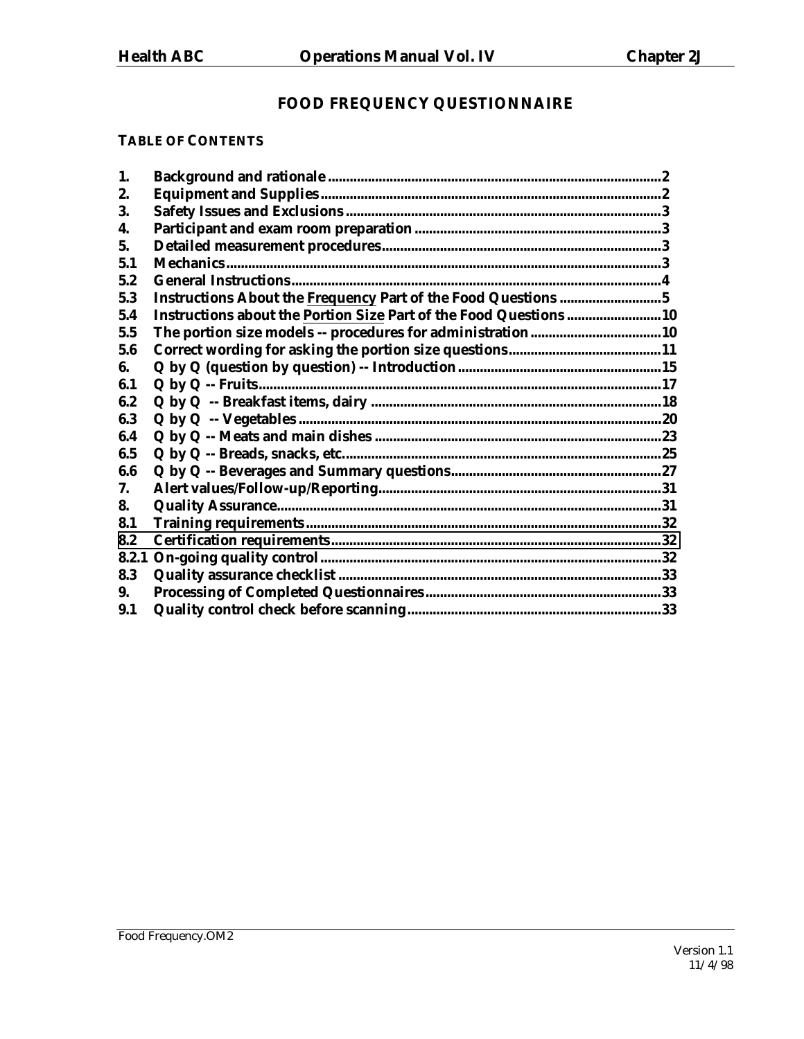# **FOOD FREQUENCY QUESTIONNAIRE**

#### **TABLE OF CONTENTS**

| 1.    |                                                                    |  |
|-------|--------------------------------------------------------------------|--|
| 2.    |                                                                    |  |
| 3.    |                                                                    |  |
| 4.    |                                                                    |  |
| 5.    |                                                                    |  |
| 5.1   |                                                                    |  |
| 5.2   |                                                                    |  |
| 5.3   | Instructions About the Frequency Part of the Food Questions 5      |  |
| 5.4   | Instructions about the Portion Size Part of the Food Questions  10 |  |
| 5.5   |                                                                    |  |
| 5.6   |                                                                    |  |
| 6.    |                                                                    |  |
| 6.1   |                                                                    |  |
| 6.2   |                                                                    |  |
| 6.3   |                                                                    |  |
| 6.4   |                                                                    |  |
| 6.5   |                                                                    |  |
| 6.6   |                                                                    |  |
| 7.    |                                                                    |  |
| 8.    |                                                                    |  |
| 8.1   |                                                                    |  |
| 8.2   |                                                                    |  |
| 8.2.1 |                                                                    |  |
| 8.3   |                                                                    |  |
| 9.    |                                                                    |  |
| 9.1   |                                                                    |  |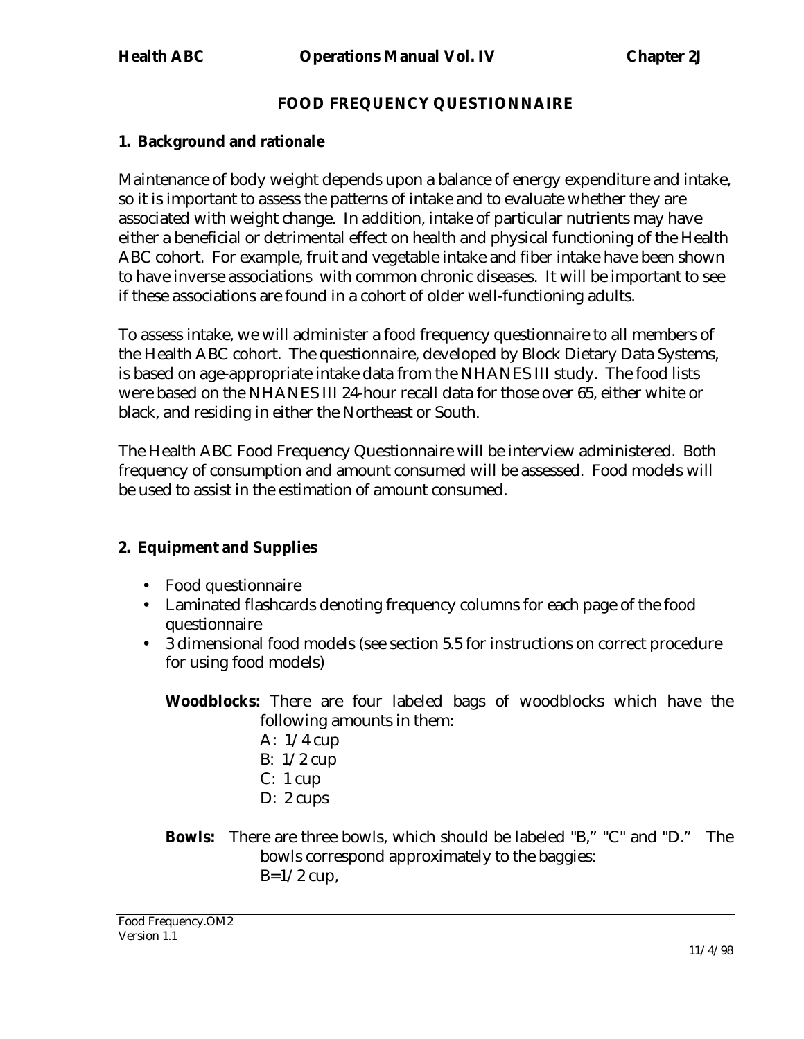## **FOOD FREQUENCY QUESTIONNAIRE**

## <span id="page-1-0"></span>**1. Background and rationale**

Maintenance of body weight depends upon a balance of energy expenditure and intake, so it is important to assess the patterns of intake and to evaluate whether they are associated with weight change. In addition, intake of particular nutrients may have either a beneficial or detrimental effect on health and physical functioning of the Health ABC cohort. For example, fruit and vegetable intake and fiber intake have been shown to have inverse associations with common chronic diseases. It will be important to see if these associations are found in a cohort of older well-functioning adults.

To assess intake, we will administer a food frequency questionnaire to all members of the Health ABC cohort. The questionnaire, developed by Block Dietary Data Systems, is based on age-appropriate intake data from the NHANES III study. The food lists were based on the NHANES III 24-hour recall data for those over 65, either white or black, and residing in either the Northeast or South.

The Health ABC Food Frequency Questionnaire will be interview administered. Both frequency of consumption and amount consumed will be assessed. Food models will be used to assist in the estimation of amount consumed.

## **2. Equipment and Supplies**

- Food questionnaire
- Laminated flashcards denoting frequency columns for each page of the food questionnaire
- 3 dimensional food models (see section 5.5 for instructions on correct procedure for using food models)

**Woodblocks:** There are four labeled bags of woodblocks which have the following amounts in them:

- A: 1/4 cup B: 1/2 cup  $C: 1 cup$
- D: 2 cups
- **Bowls:** There are three bowls, which should be labeled "B," "C" and "D." The bowls correspond approximately to the baggies:  $B=1/2$  cup,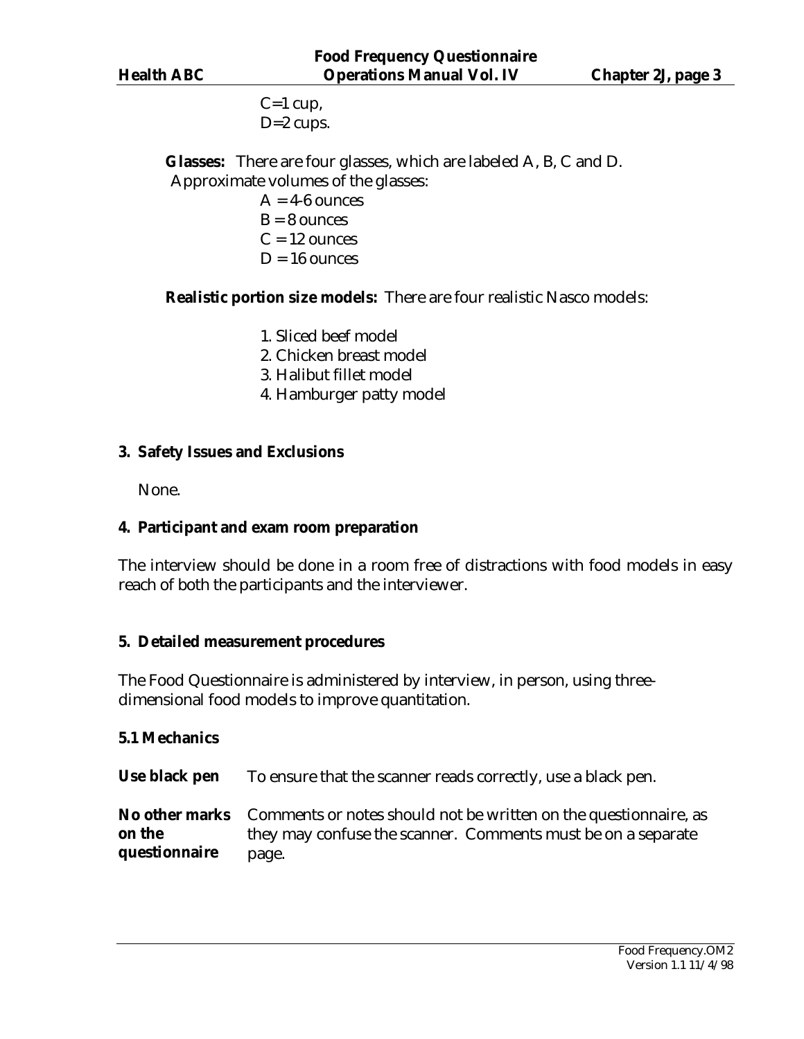$C=1$  cup,  $D=2$  cups.

<span id="page-2-0"></span>**Glasses:** There are four glasses, which are labeled A, B, C and D. Approximate volumes of the glasses:

- $A = 4-6$  ounces  $B = 8$  ounces  $C = 12$  ounces  $D = 16$  ounces
- 

**Realistic portion size models:** There are four realistic Nasco models:

- 1. Sliced beef model
- 2. Chicken breast model
- 3. Halibut fillet model
- 4. Hamburger patty model

#### **3. Safety Issues and Exclusions**

None.

#### **4. Participant and exam room preparation**

The interview should be done in a room free of distractions with food models in easy reach of both the participants and the interviewer.

#### **5. Detailed measurement procedures**

The Food Questionnaire is administered by interview, in person, using threedimensional food models to improve quantitation.

#### **5.1 Mechanics**

**Use black pen** To ensure that the scanner reads correctly, use a black pen.

**No other marks on the questionnaire**  Comments or notes should not be written on the questionnaire, as they may confuse the scanner. Comments must be on a separate page.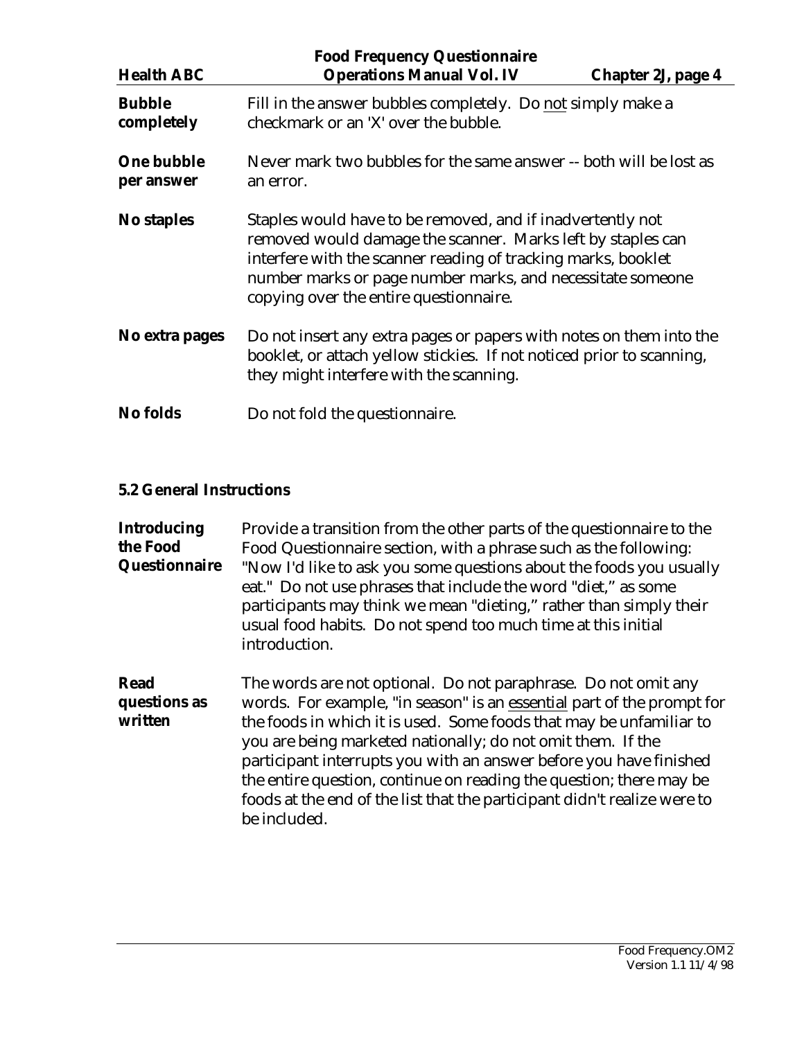<span id="page-3-0"></span>

| <b>Health ABC</b>               | <b>Food Frequency Questionnaire</b><br><b>Operations Manual Vol. IV</b>                                                                                                                                                                                                                            | Chapter 2J, page 4                                                 |  |
|---------------------------------|----------------------------------------------------------------------------------------------------------------------------------------------------------------------------------------------------------------------------------------------------------------------------------------------------|--------------------------------------------------------------------|--|
| <b>Bubble</b><br>completely     | checkmark or an 'X' over the bubble.                                                                                                                                                                                                                                                               | Fill in the answer bubbles completely. Do not simply make a        |  |
| <b>One bubble</b><br>per answer | an error.                                                                                                                                                                                                                                                                                          | Never mark two bubbles for the same answer -- both will be lost as |  |
| <b>No staples</b>               | Staples would have to be removed, and if inadvertently not<br>removed would damage the scanner. Marks left by staples can<br>interfere with the scanner reading of tracking marks, booklet<br>number marks or page number marks, and necessitate someone<br>copying over the entire questionnaire. |                                                                    |  |
| No extra pages                  | Do not insert any extra pages or papers with notes on them into the<br>booklet, or attach yellow stickies. If not noticed prior to scanning,<br>they might interfere with the scanning.                                                                                                            |                                                                    |  |
| <b>No folds</b>                 | Do not fold the question naire.                                                                                                                                                                                                                                                                    |                                                                    |  |

#### **5.2 General Instructions**

**Introducing the Food Questionnaire**  Provide a transition from the other parts of the questionnaire to the Food Questionnaire section, with a phrase such as the following: "Now I'd like to ask you some questions about the foods you usually eat." Do not use phrases that include the word "diet," as some participants may think we mean "dieting," rather than simply their usual food habits. Do not spend too much time at this initial introduction.

**Read questions as written**  The words are not optional. Do not paraphrase. Do not omit any words. For example, "in season" is an essential part of the prompt for the foods in which it is used. Some foods that may be unfamiliar to you are being marketed nationally; do not omit them. If the participant interrupts you with an answer before you have finished the entire question, continue on reading the question; there may be foods at the end of the list that the participant didn't realize were to be included.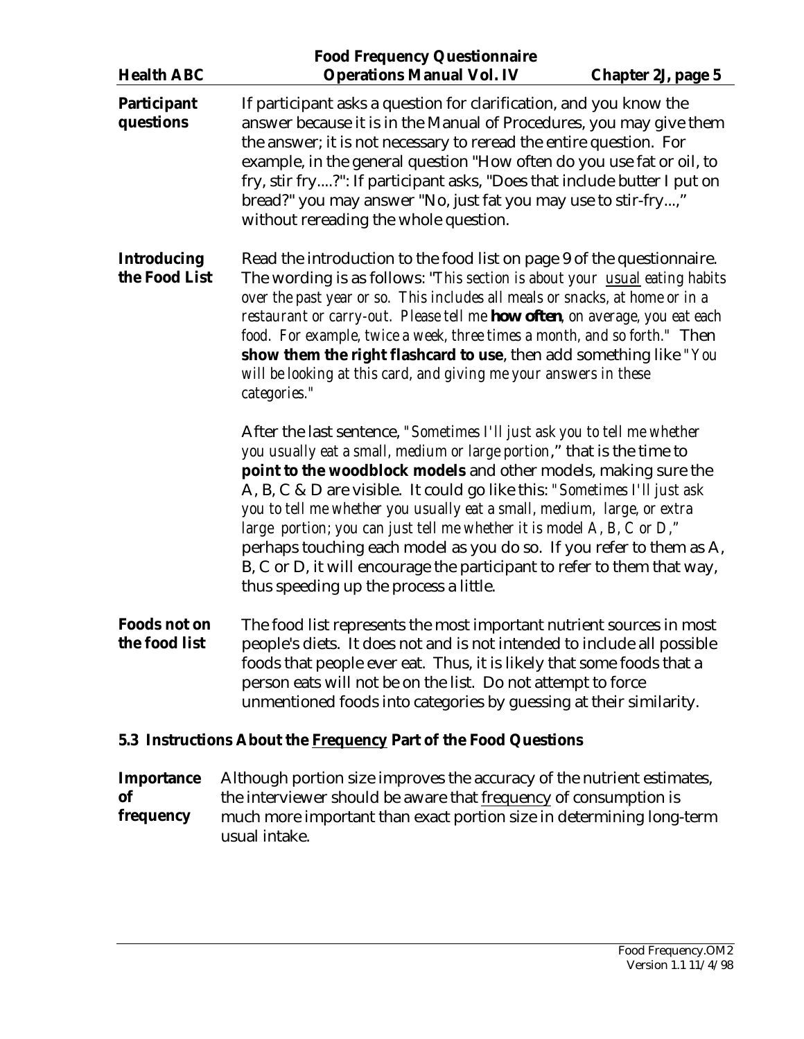<span id="page-4-0"></span>

|                                                                                                                                                                                                                                                                                                                                                                                                                                                                                                                                                                                                    | <b>Food Frequency Questionnaire</b>                                                                                                                                                                                                                                                                                                                                                                                                                                                                                                                                                                                                                 |                    |
|----------------------------------------------------------------------------------------------------------------------------------------------------------------------------------------------------------------------------------------------------------------------------------------------------------------------------------------------------------------------------------------------------------------------------------------------------------------------------------------------------------------------------------------------------------------------------------------------------|-----------------------------------------------------------------------------------------------------------------------------------------------------------------------------------------------------------------------------------------------------------------------------------------------------------------------------------------------------------------------------------------------------------------------------------------------------------------------------------------------------------------------------------------------------------------------------------------------------------------------------------------------------|--------------------|
| <b>Health ABC</b>                                                                                                                                                                                                                                                                                                                                                                                                                                                                                                                                                                                  | <b>Operations Manual Vol. IV</b>                                                                                                                                                                                                                                                                                                                                                                                                                                                                                                                                                                                                                    | Chapter 2J, page 5 |
| Participant<br>questions                                                                                                                                                                                                                                                                                                                                                                                                                                                                                                                                                                           | If participant asks a question for clarification, and you know the<br>answer because it is in the Manual of Procedures, you may give them<br>the answer; it is not necessary to reread the entire question. For<br>example, in the general question "How often do you use fat or oil, to<br>fry, stir fry?": If participant asks, "Does that include butter I put on<br>bread?" you may answer "No, just fat you may use to stir-fry,"<br>without rereading the whole question.                                                                                                                                                                     |                    |
| <b>Introducing</b><br>Read the introduction to the food list on page 9 of the questionnaire.<br>the Food List<br>The wording is as follows: "This section is about your usual eating habits<br>over the past year or so. This includes all meals or snacks, at home or in a<br>restaurant or carry-out. Please tell me how often, on average, you eat each<br>food. For example, twice a week, three times a month, and so forth." Then<br>show them the right flashcard to use, then add something like "You<br>will be looking at this card, and giving me your answers in these<br>categories." |                                                                                                                                                                                                                                                                                                                                                                                                                                                                                                                                                                                                                                                     |                    |
|                                                                                                                                                                                                                                                                                                                                                                                                                                                                                                                                                                                                    | After the last sentence, "Sometimes I'll just ask you to tell me whether<br>you usually eat a small, medium or large portion," that is the time to<br>point to the woodblock models and other models, making sure the<br>A, B, C & D are visible. It could go like this: "Sometimes I'll just ask<br>you to tell me whether you usually eat a small, medium, large, or extra<br>large portion; you can just tell me whether it is model A, B, C or D,"<br>perhaps touching each model as you do so. If you refer to them as A,<br>B, C or D, it will encourage the participant to refer to them that way,<br>thus speeding up the process a little. |                    |
| <b>Foods not on</b><br>the food list                                                                                                                                                                                                                                                                                                                                                                                                                                                                                                                                                               | The food list represents the most important nutrient sources in most<br>people's diets. It does not and is not intended to include all possible<br>foods that people ever eat. Thus, it is likely that some foods that a<br>person eats will not be on the list. Do not attempt to force<br>unmentioned foods into categories by guessing at their similarity.                                                                                                                                                                                                                                                                                      |                    |
|                                                                                                                                                                                                                                                                                                                                                                                                                                                                                                                                                                                                    | 5.3 Instructions About the <b>Frequency Part of the Food Questions</b>                                                                                                                                                                                                                                                                                                                                                                                                                                                                                                                                                                              |                    |
| <b>Importance</b><br><b>of</b><br>frequency                                                                                                                                                                                                                                                                                                                                                                                                                                                                                                                                                        | Although portion size improves the accuracy of the nutrient estimates,<br>the interviewer should be aware that frequency of consumption is<br>much more important than exact portion size in determining long-term                                                                                                                                                                                                                                                                                                                                                                                                                                  |                    |

usual intake.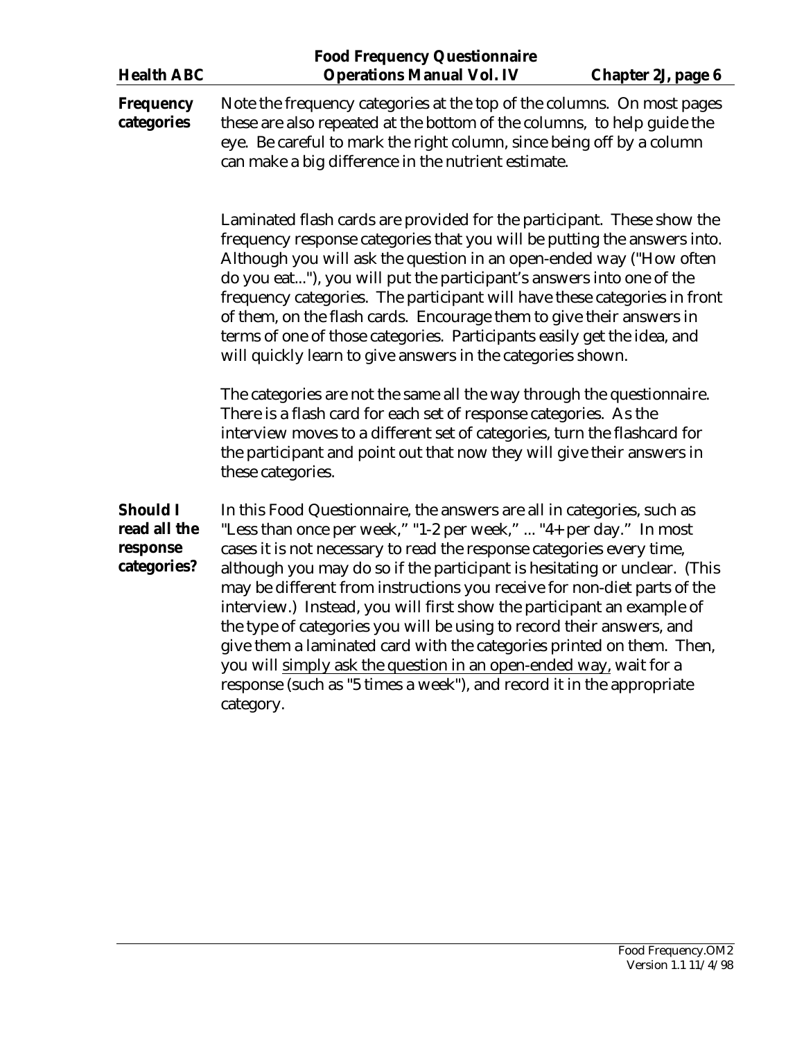|                                                            | <b>Food Frequency Questionnaire</b>                                                                                                                                                                                                                                                                                                                                                                                                                                                                                                                                                                                                                                                                                                                                  |  |  |
|------------------------------------------------------------|----------------------------------------------------------------------------------------------------------------------------------------------------------------------------------------------------------------------------------------------------------------------------------------------------------------------------------------------------------------------------------------------------------------------------------------------------------------------------------------------------------------------------------------------------------------------------------------------------------------------------------------------------------------------------------------------------------------------------------------------------------------------|--|--|
| <b>Health ABC</b>                                          | <b>Operations Manual Vol. IV</b><br>Chapter 2J, page 6                                                                                                                                                                                                                                                                                                                                                                                                                                                                                                                                                                                                                                                                                                               |  |  |
| <b>Frequency</b><br>categories                             | Note the frequency categories at the top of the columns. On most pages<br>these are also repeated at the bottom of the columns, to help guide the<br>eye. Be careful to mark the right column, since being off by a column<br>can make a big difference in the nutrient estimate.                                                                                                                                                                                                                                                                                                                                                                                                                                                                                    |  |  |
|                                                            | Laminated flash cards are provided for the participant. These show the<br>frequency response categories that you will be putting the answers into.<br>Although you will ask the question in an open-ended way ("How often<br>do you eat"), you will put the participant's answers into one of the<br>frequency categories. The participant will have these categories in front<br>of them, on the flash cards. Encourage them to give their answers in<br>terms of one of those categories. Participants easily get the idea, and<br>will quickly learn to give answers in the categories shown.                                                                                                                                                                     |  |  |
|                                                            | The categories are not the same all the way through the questionnaire.<br>There is a flash card for each set of response categories. As the<br>interview moves to a different set of categories, turn the flashcard for<br>the participant and point out that now they will give their answers in<br>these categories.                                                                                                                                                                                                                                                                                                                                                                                                                                               |  |  |
| <b>Should I</b><br>read all the<br>response<br>categories? | In this Food Questionnaire, the answers are all in categories, such as<br>"Less than once per week," "1-2 per week,"  "4+ per day." In most<br>cases it is not necessary to read the response categories every time,<br>although you may do so if the participant is hesitating or unclear. (This<br>may be different from instructions you receive for non-diet parts of the<br>interview.) Instead, you will first show the participant an example of<br>the type of categories you will be using to record their answers, and<br>give them a laminated card with the categories printed on them. Then,<br>you will simply ask the question in an open-ended way, wait for a<br>response (such as "5 times a week"), and record it in the appropriate<br>category. |  |  |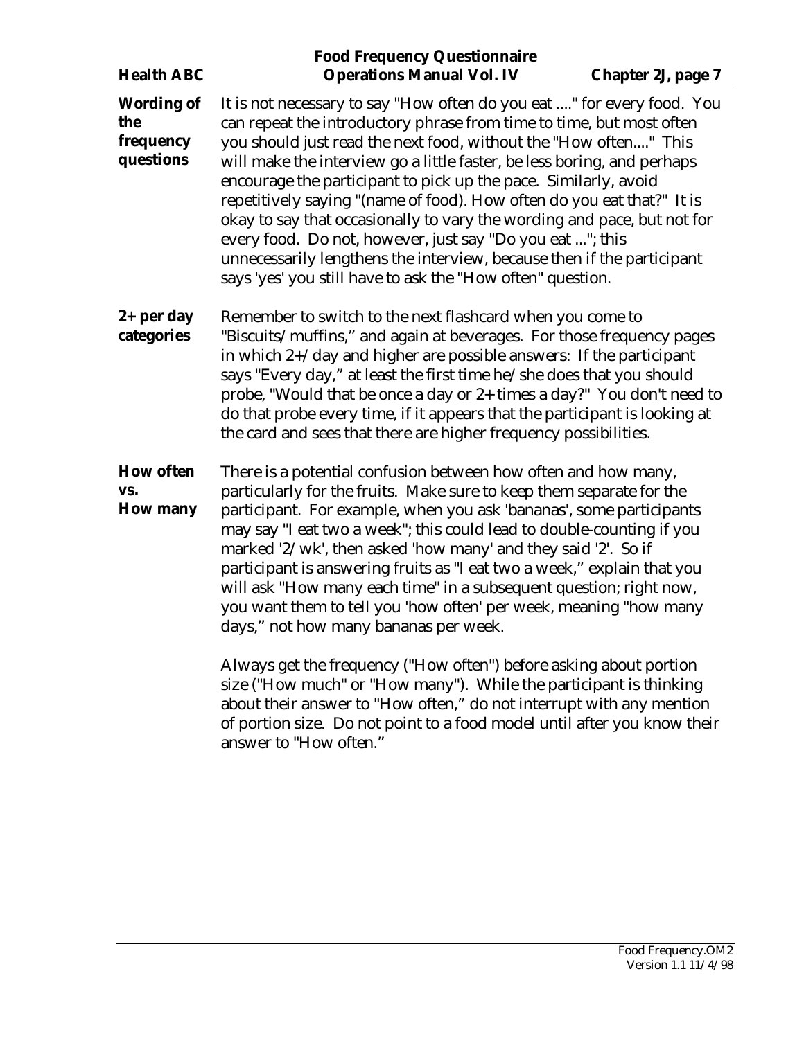| <b>Health ABC</b>                                  | <b>Food Frequency Questionnaire</b><br><b>Operations Manual Vol. IV</b>                                                                                                                                                                                                                                                                                                                                                                                                                                                                                                                                                                                                                                                    | <b>Chapter 2J, page 7</b>                                                                                                                                                                                                                                                                                                                                                                                                                                                                                         |  |
|----------------------------------------------------|----------------------------------------------------------------------------------------------------------------------------------------------------------------------------------------------------------------------------------------------------------------------------------------------------------------------------------------------------------------------------------------------------------------------------------------------------------------------------------------------------------------------------------------------------------------------------------------------------------------------------------------------------------------------------------------------------------------------------|-------------------------------------------------------------------------------------------------------------------------------------------------------------------------------------------------------------------------------------------------------------------------------------------------------------------------------------------------------------------------------------------------------------------------------------------------------------------------------------------------------------------|--|
| <b>Wording of</b><br>the<br>frequency<br>questions | It is not necessary to say "How often do you eat " for every food. You<br>can repeat the introductory phrase from time to time, but most often<br>you should just read the next food, without the "How often" This<br>will make the interview go a little faster, be less boring, and perhaps<br>encourage the participant to pick up the pace. Similarly, avoid<br>repetitively saying "(name of food). How often do you eat that?" It is<br>okay to say that occasionally to vary the wording and pace, but not for<br>every food. Do not, however, just say "Do you eat "; this<br>unnecessarily lengthens the interview, because then if the participant<br>says 'yes' you still have to ask the "How often" question. |                                                                                                                                                                                                                                                                                                                                                                                                                                                                                                                   |  |
| $2+$ per day<br>categories                         |                                                                                                                                                                                                                                                                                                                                                                                                                                                                                                                                                                                                                                                                                                                            | Remember to switch to the next flashcard when you come to<br>"Biscuits/muffins," and again at beverages. For those frequency pages<br>in which $2+$ /day and higher are possible answers: If the participant<br>says "Every day," at least the first time he/she does that you should<br>probe, "Would that be once a day or 2+ times a day?" You don't need to<br>do that probe every time, if it appears that the participant is looking at<br>the card and sees that there are higher frequency possibilities. |  |
| <b>How often</b><br>VS.<br><b>How many</b>         | There is a potential confusion between how often and how many,<br>particularly for the fruits. Make sure to keep them separate for the<br>participant. For example, when you ask 'bananas', some participants<br>may say "I eat two a week"; this could lead to double-counting if you<br>marked '2/wk', then asked 'how many' and they said '2'. So if<br>participant is answering fruits as "I eat two a week," explain that you<br>will ask "How many each time" in a subsequent question; right now,<br>you want them to tell you 'how often' per week, meaning "how many<br>days," not how many bananas per week.<br>Always get the frequency ("How often") before asking about portion                               |                                                                                                                                                                                                                                                                                                                                                                                                                                                                                                                   |  |
|                                                    | size ("How much" or "How many"). While the participant is thinking<br>about their answer to "How often," do not interrupt with any mention<br>of portion size. Do not point to a food model until after you know their<br>answer to "How often."                                                                                                                                                                                                                                                                                                                                                                                                                                                                           |                                                                                                                                                                                                                                                                                                                                                                                                                                                                                                                   |  |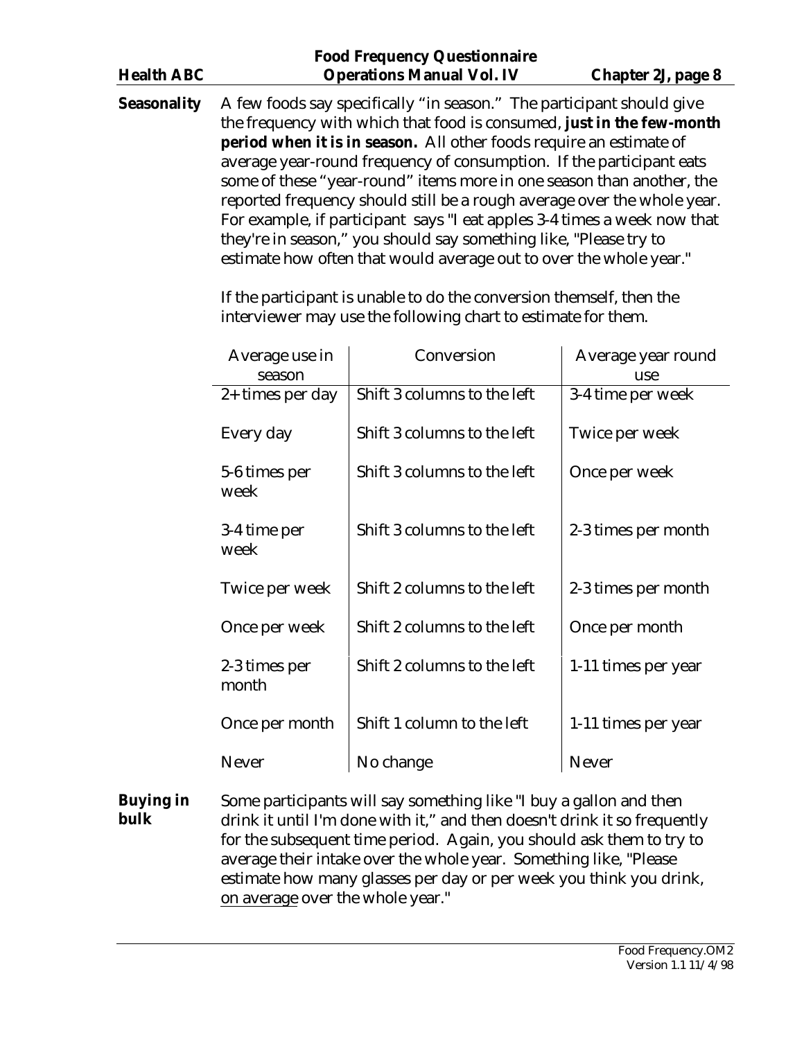|                   | <b>Food Frequency Questionnaire</b> |                    |
|-------------------|-------------------------------------|--------------------|
| <b>Health ABC</b> | <b>Operations Manual Vol. IV</b>    | Chapter 2J, page 8 |
|                   |                                     |                    |

**Seasonality** A few foods say specifically "in season." The participant should give the frequency with which that food is consumed, **just in the few-month period when it is in season.** All other foods require an estimate of average year-round frequency of consumption. If the participant eats some of these "year-round" items more in one season than another, the reported frequency should still be a rough average over the whole year. For example, if participant says "I eat apples 3-4 times a week now that they're in season," you should say something like, "Please try to estimate how often that would average out to over the whole year."

> If the participant is unable to do the conversion themself, then the interviewer may use the following chart to estimate for them.

| Average use in<br>season | Conversion                  | Average year round<br>use |
|--------------------------|-----------------------------|---------------------------|
| $2+$ times per day       | Shift 3 columns to the left | 3-4 time per week         |
| Every day                | Shift 3 columns to the left | Twice per week            |
| 5-6 times per<br>week    | Shift 3 columns to the left | Once per week             |
| 3-4 time per<br>week     | Shift 3 columns to the left | 2-3 times per month       |
| Twice per week           | Shift 2 columns to the left | 2-3 times per month       |
| Once per week            | Shift 2 columns to the left | Once per month            |
| 2-3 times per<br>month   | Shift 2 columns to the left | 1-11 times per year       |
| Once per month           | Shift 1 column to the left  | 1-11 times per year       |
| <b>Never</b>             | No change                   | <b>Never</b>              |

**Buying in bulk**  Some participants will say something like "I buy a gallon and then drink it until I'm done with it," and then doesn't drink it so frequently for the subsequent time period. Again, you should ask them to try to average their intake over the whole year. Something like, "Please estimate how many glasses per day or per week you think you drink, on average over the whole year."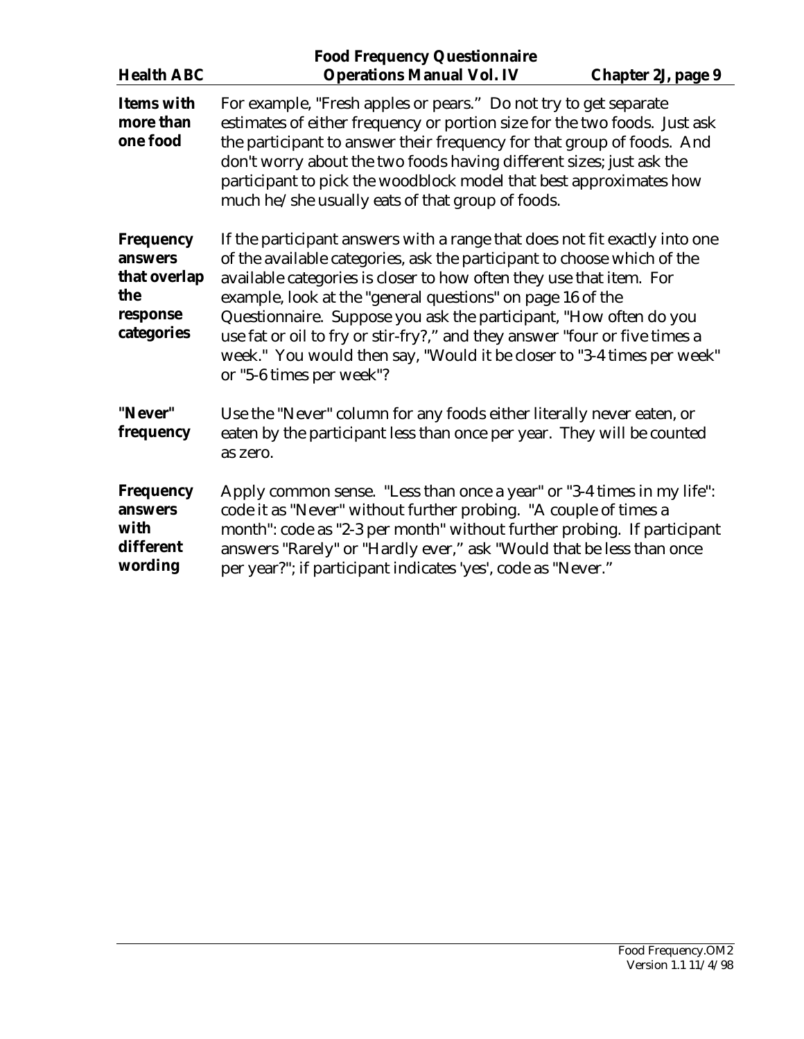| <b>Health ABC</b>                                                            | <b>Food Frequency Questionnaire</b>                                                                                                                                                                                                                                                                                                                                                                                                                                                                                                                 |  |
|------------------------------------------------------------------------------|-----------------------------------------------------------------------------------------------------------------------------------------------------------------------------------------------------------------------------------------------------------------------------------------------------------------------------------------------------------------------------------------------------------------------------------------------------------------------------------------------------------------------------------------------------|--|
| <b>Items with</b><br>more than<br>one food                                   | <b>Operations Manual Vol. IV</b><br><b>Chapter 2J, page 9</b><br>For example, "Fresh apples or pears." Do not try to get separate<br>estimates of either frequency or portion size for the two foods. Just ask<br>the participant to answer their frequency for that group of foods. And<br>don't worry about the two foods having different sizes; just ask the<br>participant to pick the woodblock model that best approximates how<br>much he/she usually eats of that group of foods.                                                          |  |
| <b>Frequency</b><br>answers<br>that overlap<br>the<br>response<br>categories | If the participant answers with a range that does not fit exactly into one<br>of the available categories, ask the participant to choose which of the<br>available categories is closer to how often they use that item. For<br>example, look at the "general questions" on page 16 of the<br>Questionnaire. Suppose you ask the participant, "How often do you<br>use fat or oil to fry or stir-fry?," and they answer "four or five times a<br>week." You would then say, "Would it be closer to "3-4 times per week"<br>or "5-6 times per week"? |  |
| "Never"<br>frequency                                                         | Use the "Never" column for any foods either literally never eaten, or<br>eaten by the participant less than once per year. They will be counted<br>as zero.                                                                                                                                                                                                                                                                                                                                                                                         |  |
| <b>Frequency</b><br>answers<br>with<br>different<br>wording                  | Apply common sense. "Less than once a year" or "3-4 times in my life":<br>code it as "Never" without further probing. "A couple of times a<br>month": code as "2-3 per month" without further probing. If participant<br>answers "Rarely" or "Hardly ever," ask "Would that be less than once<br>per year?"; if participant indicates 'yes', code as "Never."                                                                                                                                                                                       |  |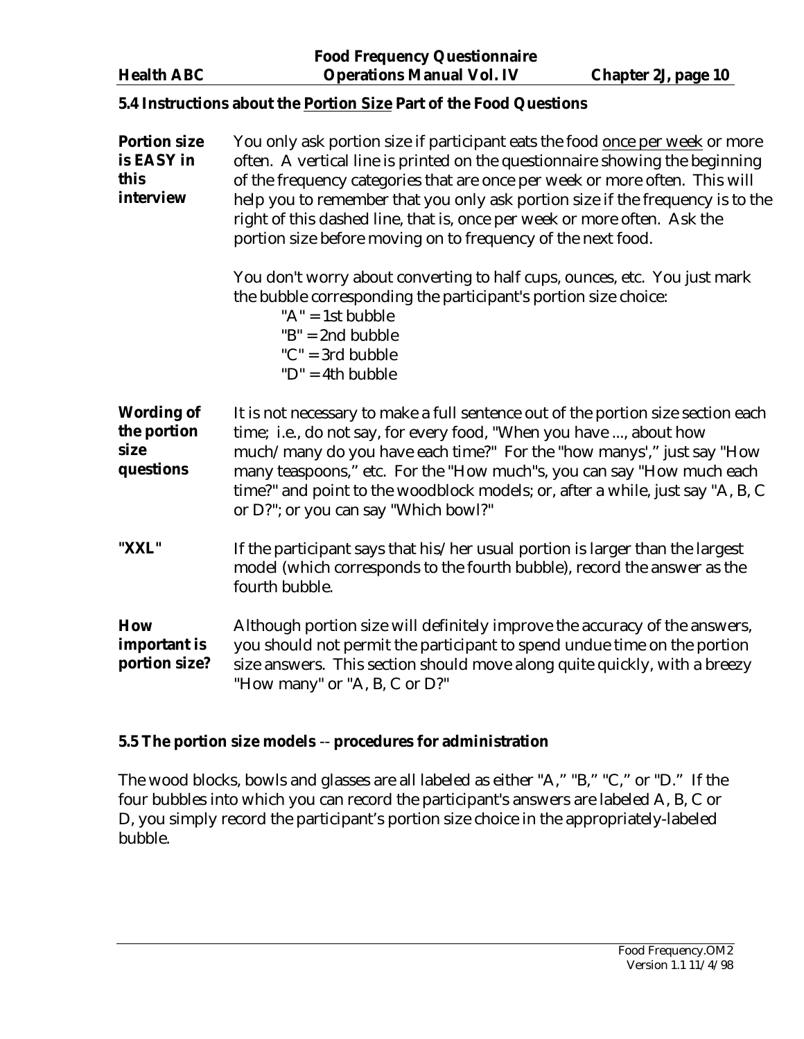<span id="page-9-0"></span>**Food Frequency Questionnaire Health ABC Operations Manual Vol. IV Chapter 2J, page 10** 

## **5.4 Instructions about the Portion Size Part of the Food Questions**

| <b>Portion size</b><br>is EASY in<br>this<br>interview | You only ask portion size if participant eats the food once per week or more<br>often. A vertical line is printed on the questionnaire showing the beginning<br>of the frequency categories that are once per week or more often. This will<br>help you to remember that you only ask portion size if the frequency is to the<br>right of this dashed line, that is, once per week or more often. Ask the<br>portion size before moving on to frequency of the next food. |  |
|--------------------------------------------------------|---------------------------------------------------------------------------------------------------------------------------------------------------------------------------------------------------------------------------------------------------------------------------------------------------------------------------------------------------------------------------------------------------------------------------------------------------------------------------|--|
|                                                        | You don't worry about converting to half cups, ounces, etc. You just mark<br>the bubble corresponding the participant's portion size choice:<br>" $A$ " = 1st bubble<br>$B'' = 2nd \n   bubble$<br>$"C" = 3rd \n   bubble$<br>$"D" = 4th bubble$                                                                                                                                                                                                                          |  |
| <b>Wording of</b><br>the portion<br>size<br>questions  | It is not necessary to make a full sentence out of the portion size section each<br>time; i.e., do not say, for every food, "When you have , about how<br>much/many do you have each time?" For the "how manys'," just say "How<br>many teaspoons," etc. For the "How much"s, you can say "How much each<br>time?" and point to the woodblock models; or, after a while, just say "A, B, C<br>or D?"; or you can say "Which bowl?"                                        |  |
| "XXL"                                                  | If the participant says that his/her usual portion is larger than the largest<br>model (which corresponds to the fourth bubble), record the answer as the<br>fourth bubble.                                                                                                                                                                                                                                                                                               |  |
| <b>How</b><br>important is<br>portion size?            | Although portion size will definitely improve the accuracy of the answers,<br>you should not permit the participant to spend undue time on the portion<br>size answers. This section should move along quite quickly, with a breezy<br>"How many" or "A, B, C or D?"                                                                                                                                                                                                      |  |

## **5.5 The portion size models** -- **procedures for administration**

The wood blocks, bowls and glasses are all labeled as either "A," "B," "C," or "D." If the four bubbles into which you can record the participant's answers are labeled A, B, C or D, you simply record the participant's portion size choice in the appropriately-labeled bubble.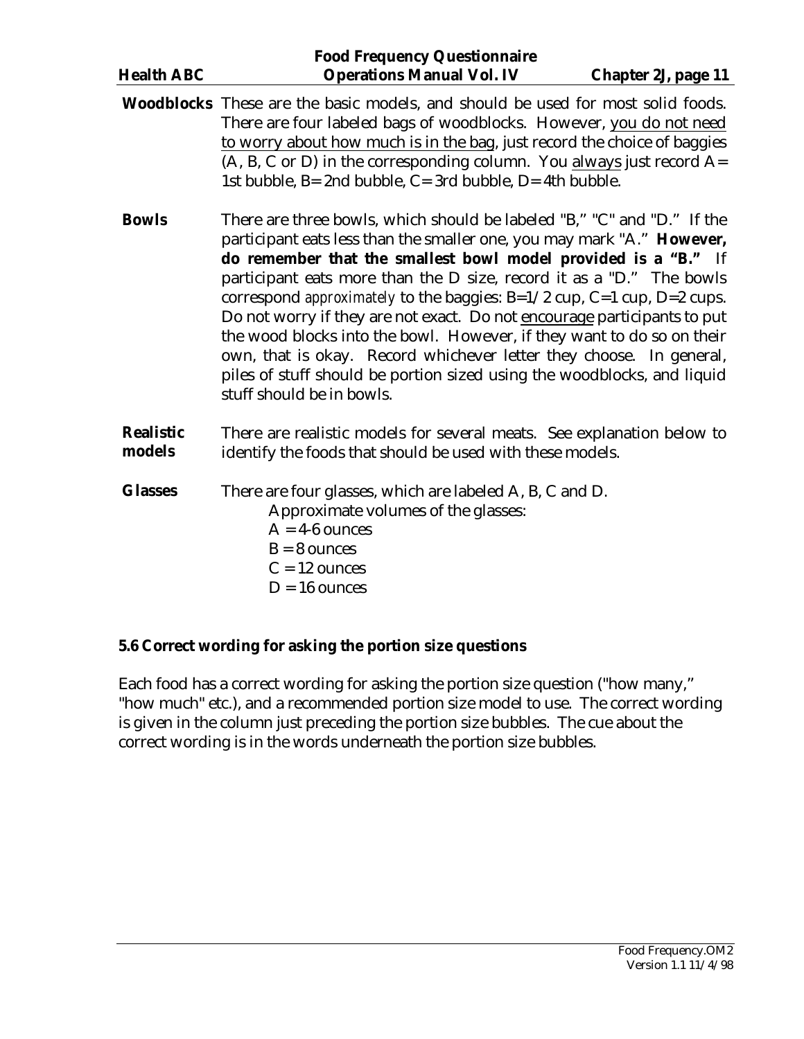<span id="page-10-0"></span>

|                            | <b>Food Frequency Questionnaire</b>                                                                                                                                                                                                                                                                                                                                                                                                                                                                                                                                                                                                                                                                               |                     |
|----------------------------|-------------------------------------------------------------------------------------------------------------------------------------------------------------------------------------------------------------------------------------------------------------------------------------------------------------------------------------------------------------------------------------------------------------------------------------------------------------------------------------------------------------------------------------------------------------------------------------------------------------------------------------------------------------------------------------------------------------------|---------------------|
| <b>Health ABC</b>          | <b>Operations Manual Vol. IV</b>                                                                                                                                                                                                                                                                                                                                                                                                                                                                                                                                                                                                                                                                                  | Chapter 2J, page 11 |
|                            | <b>Woodblocks</b> These are the basic models, and should be used for most solid foods.<br>There are four labeled bags of woodblocks. However, you do not need<br>to worry about how much is in the bag, just record the choice of baggies<br>$(A, B, C \text{ or } D)$ in the corresponding column. You always just record A=<br>1st bubble, B= 2nd bubble, C= 3rd bubble, D= 4th bubble.                                                                                                                                                                                                                                                                                                                         |                     |
| <b>Bowls</b>               | There are three bowls, which should be labeled "B," "C" and "D." If the<br>participant eats less than the smaller one, you may mark "A." However,<br>do remember that the smallest bowl model provided is a "B." If<br>participant eats more than the D size, record it as a "D." The bowls<br>correspond <i>approximately</i> to the baggies: B=1/2 cup, C=1 cup, D=2 cups.<br>Do not worry if they are not exact. Do not encourage participants to put<br>the wood blocks into the bowl. However, if they want to do so on their<br>own, that is okay. Record whichever letter they choose. In general,<br>piles of stuff should be portion sized using the woodblocks, and liquid<br>stuff should be in bowls. |                     |
| <b>Realistic</b><br>models | There are realistic models for several meats. See explanation below to<br>identify the foods that should be used with these models.                                                                                                                                                                                                                                                                                                                                                                                                                                                                                                                                                                               |                     |
| <b>Glasses</b>             | There are four glasses, which are labeled A, B, C and D.<br>Approximate volumes of the glasses:<br>$A = 4-6$ ounces<br>$B = 8$ ounces<br>$C = 12$ ounces<br>$D = 16$ ounces                                                                                                                                                                                                                                                                                                                                                                                                                                                                                                                                       |                     |

# **5.6 Correct wording for asking the portion size questions**

Each food has a correct wording for asking the portion size question ("how many," "how much" etc.), and a recommended portion size model to use. The correct wording is given in the column just preceding the portion size bubbles. The cue about the correct wording is in the words underneath the portion size bubbles.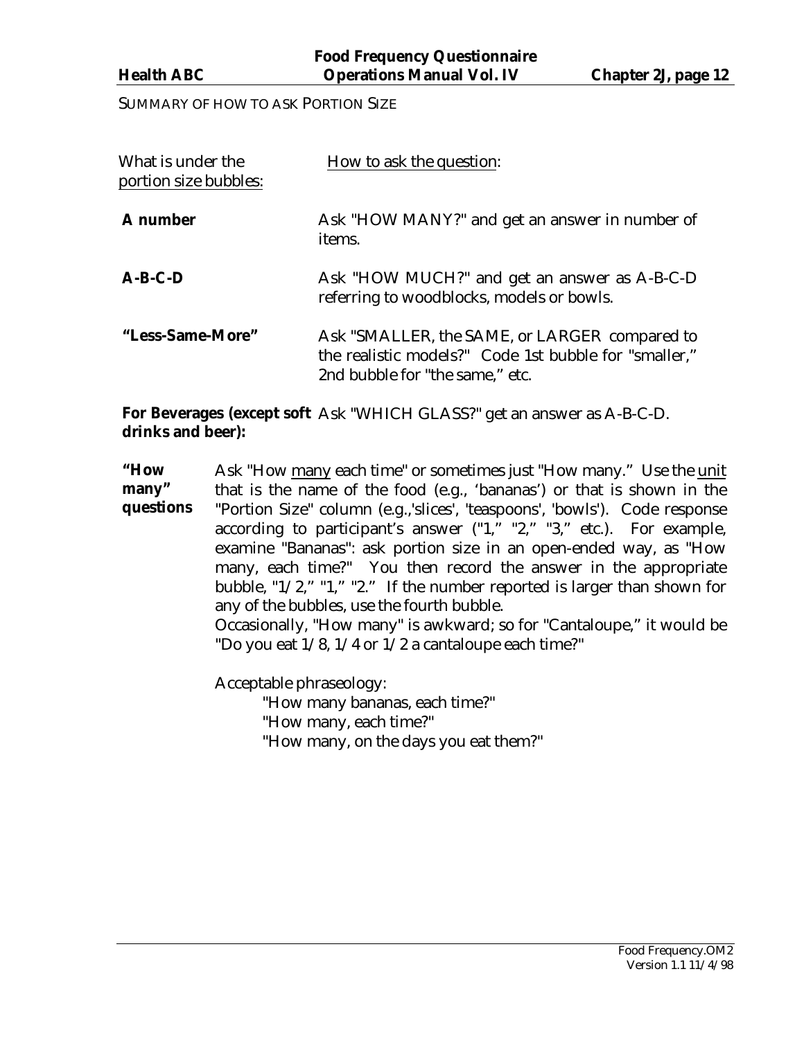SUMMARY OF HOW TO ASK PORTION SIZE

| What is under the<br>portion size bubbles: | How to ask the question:                                                                                                                  |
|--------------------------------------------|-------------------------------------------------------------------------------------------------------------------------------------------|
| <b>A</b> number                            | Ask "HOW MANY?" and get an answer in number of<br>items.                                                                                  |
| $A-B-C-D$                                  | Ask "HOW MUCH?" and get an answer as A-B-C-D<br>referring to woodblocks, models or bowls.                                                 |
| "Less-Same-More"                           | Ask "SMALLER, the SAME, or LARGER compared to<br>the realistic models?" Code 1st bubble for "smaller,"<br>2nd bubble for "the same," etc. |

**For Beverages (except soft**  Ask "WHICH GLASS?" get an answer as A-B-C-D. **drinks and beer):**

**"How many" questions** Ask "How many each time" or sometimes just "How many." Use the unit that is the name of the food (e.g., 'bananas') or that is shown in the "Portion Size" column (e.g.,'slices', 'teaspoons', 'bowls'). Code response according to participant's answer  $("1," "2," "3," etc.).$  For example, examine "Bananas": ask portion size in an open-ended way, as "How many, each time?" You then record the answer in the appropriate bubble, "1/2," "1," "2." If the number reported is larger than shown for any of the bubbles, use the fourth bubble.

Occasionally, "How many" is awkward; so for "Cantaloupe," it would be "Do you eat 1/8, 1/4 or 1/2 a cantaloupe each time?"

Acceptable phraseology:

"How many bananas, each time?"

"How many, each time?"

"How many, on the days you eat them?"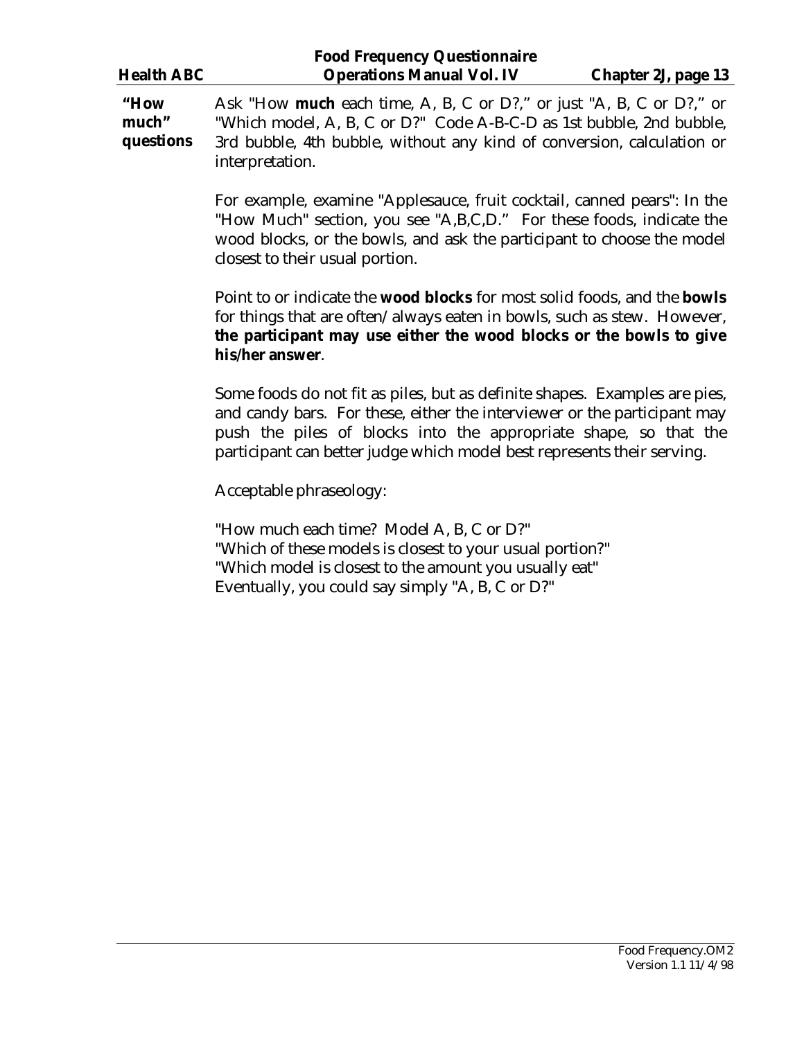| <b>Food Frequency Questionnaire</b>                                                                    |                                                                             |                     |  |  |
|--------------------------------------------------------------------------------------------------------|-----------------------------------------------------------------------------|---------------------|--|--|
| <b>Health ABC</b>                                                                                      | <b>Operations Manual Vol. IV</b>                                            | Chapter 2J, page 13 |  |  |
| "How                                                                                                   | Ask "How <b>much</b> each time, A, B, C or D?," or just "A, B, C or D?," or |                     |  |  |
| much"                                                                                                  | "Which model, A, B, C or D?" Code A-B-C-D as 1st bubble, 2nd bubble,        |                     |  |  |
| questions<br>3rd bubble, 4th bubble, without any kind of conversion, calculation or<br>interpretation. |                                                                             |                     |  |  |
|                                                                                                        | For example, examine "Applesauce, fruit cocktail, canned pears": In the     |                     |  |  |
|                                                                                                        | "How Much" section, you see "A,B,C,D." For these foods, indicate the        |                     |  |  |
|                                                                                                        | wood blocks, or the bowls, and ask the participant to choose the model      |                     |  |  |

Point to or indicate the **wood blocks** for most solid foods, and the **bowls** for things that are often/always eaten in bowls, such as stew. However, **the participant may use either the wood blocks or the bowls to give his/her answer**.

Some foods do not fit as piles, but as definite shapes. Examples are pies, and candy bars. For these, either the interviewer or the participant may push the piles of blocks into the appropriate shape, so that the participant can better judge which model best represents their serving.

Acceptable phraseology:

closest to their usual portion.

"How much each time? Model A, B, C or D?" "Which of these models is closest to your usual portion?" "Which model is closest to the amount you usually eat" Eventually, you could say simply "A, B, C or D?"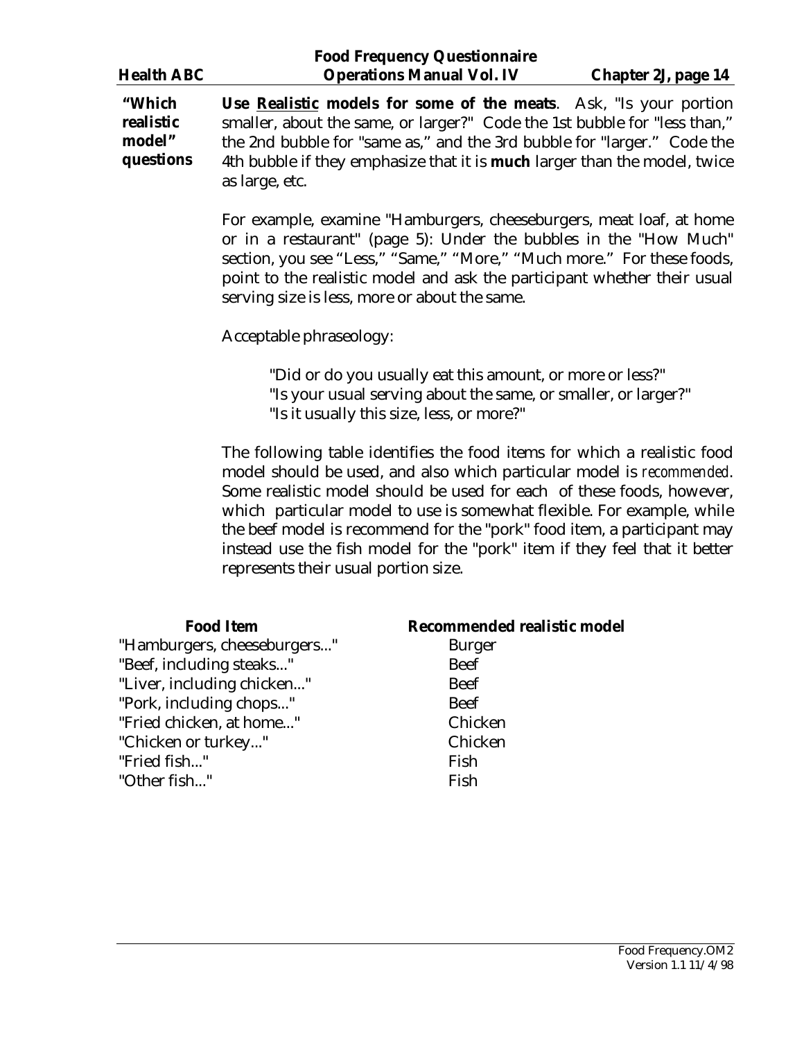| <b>Health ABC</b>                          | <b>Food Frequency Questionnaire</b><br><b>Operations Manual Vol. IV</b>                                                                                                                                                                                                                                                                | Chapter 2J, page 14 |
|--------------------------------------------|----------------------------------------------------------------------------------------------------------------------------------------------------------------------------------------------------------------------------------------------------------------------------------------------------------------------------------------|---------------------|
| "Which<br>realistic<br>model"<br>questions | <b>Use Realistic models for some of the meats.</b> Ask, "Is your portion<br>smaller, about the same, or larger?" Code the 1st bubble for "less than,"<br>the 2nd bubble for "same as," and the 3rd bubble for "larger." Code the<br>4th bubble if they emphasize that it is <b>much</b> larger than the model, twice<br>as large, etc. |                     |

For example, examine "Hamburgers, cheeseburgers, meat loaf, at home or in a restaurant" (page 5): Under the bubbles in the "How Much" section, you see "Less," "Same," "More," "Much more." For these foods, point to the realistic model and ask the participant whether their usual serving size is less, more or about the same.

Acceptable phraseology:

 "Did or do you usually eat this amount, or more or less?" "Is your usual serving about the same, or smaller, or larger?" "Is it usually this size, less, or more?"

The following table identifies the food items for which a realistic food model should be used, and also which particular model is *recommended*. Some realistic model should be used for each of these foods, however, which particular model to use is somewhat flexible. For example, while the beef model is recommend for the "pork" food item, a participant may instead use the fish model for the "pork" item if they feel that it better represents their usual portion size.

| <b>Food Item</b>            | Recommended realistic model |
|-----------------------------|-----------------------------|
| "Hamburgers, cheeseburgers" | <b>Burger</b>               |
| "Beef, including steaks"    | <b>Beef</b>                 |
| "Liver, including chicken"  | <b>Beef</b>                 |
| "Pork, including chops"     | <b>Beef</b>                 |
| "Fried chicken, at home"    | Chicken                     |
| "Chicken or turkey"         | Chicken                     |
| "Fried fish"                | Fish                        |
| "Other fish"                | Fish                        |
|                             |                             |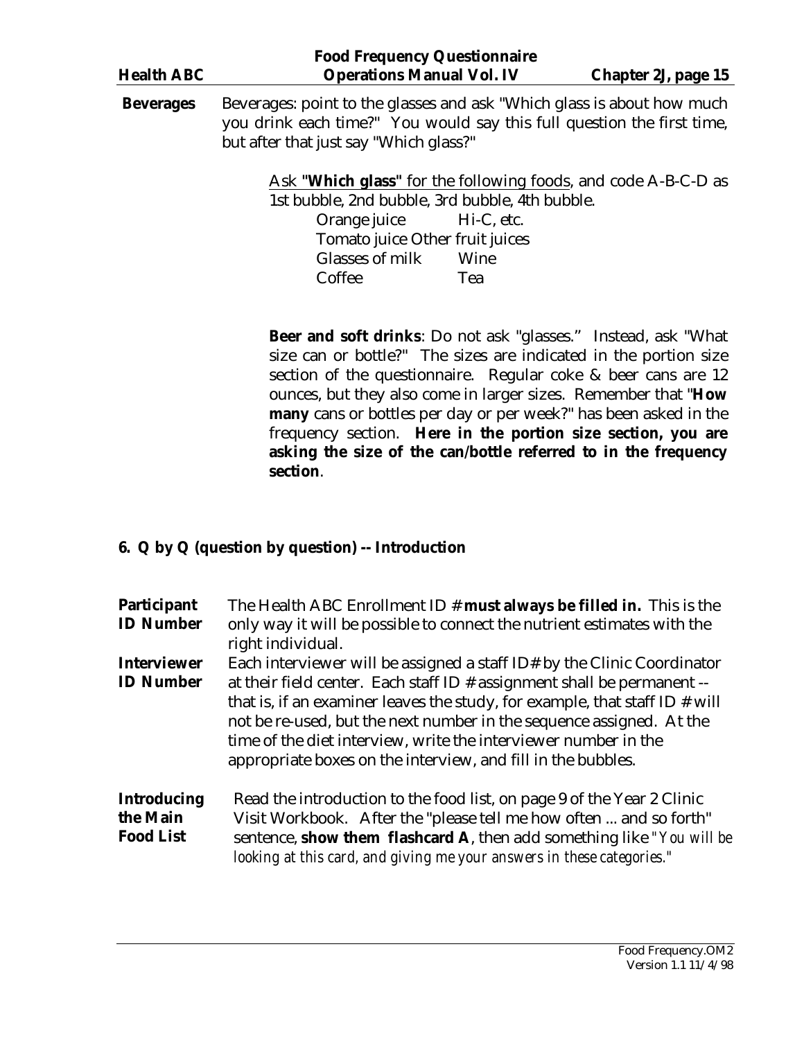<span id="page-14-0"></span>

| <b>Food Frequency Questionnaire</b> |                                                 |                                                                                                                                                                                            |                                                                |  |
|-------------------------------------|-------------------------------------------------|--------------------------------------------------------------------------------------------------------------------------------------------------------------------------------------------|----------------------------------------------------------------|--|
| <b>Health ABC</b>                   | <b>Operations Manual Vol. IV</b>                |                                                                                                                                                                                            | Chapter 2J, page 15                                            |  |
| <b>Beverages</b>                    |                                                 | Beverages: point to the glasses and ask "Which glass is about how much<br>you drink each time?" You would say this full question the first time,<br>but after that just say "Which glass?" |                                                                |  |
|                                     | 1st bubble, 2nd bubble, 3rd bubble, 4th bubble. |                                                                                                                                                                                            | Ask "Which glass" for the following foods, and code A-B-C-D as |  |
|                                     | Orange juice                                    | Hi-C, etc.                                                                                                                                                                                 |                                                                |  |
|                                     | Tomato juice Other fruit juices                 |                                                                                                                                                                                            |                                                                |  |
|                                     | Glasses of milk                                 | Wine                                                                                                                                                                                       |                                                                |  |
|                                     | Coffee                                          | Tea                                                                                                                                                                                        |                                                                |  |
|                                     |                                                 |                                                                                                                                                                                            |                                                                |  |

**Beer and soft drinks**: Do not ask "glasses." Instead, ask "What size can or bottle?" The sizes are indicated in the portion size section of the questionnaire. Regular coke & beer cans are 12 ounces, but they also come in larger sizes. Remember that "**How many** cans or bottles per day or per week?" has been asked in the frequency section. **Here in the portion size section, you are asking the size of the can/bottle referred to in the frequency section**.

### **6. Q by Q (question by question) -- Introduction**

| <b>Participant</b><br><b>ID Number</b>             | The Health ABC Enrollment ID $#$ must always be filled in. This is the<br>only way it will be possible to connect the nutrient estimates with the<br>right individual.                                                                                                                                                                                                                                                                            |
|----------------------------------------------------|---------------------------------------------------------------------------------------------------------------------------------------------------------------------------------------------------------------------------------------------------------------------------------------------------------------------------------------------------------------------------------------------------------------------------------------------------|
| <b>Interviewer</b><br><b>ID Number</b>             | Each interviewer will be assigned a staff ID# by the Clinic Coordinator<br>at their field center. Each staff ID $#$ assignment shall be permanent $-$<br>that is, if an examiner leaves the study, for example, that staff ID $#$ will<br>not be re-used, but the next number in the sequence assigned. At the<br>time of the diet interview, write the interviewer number in the<br>appropriate boxes on the interview, and fill in the bubbles. |
| <b>Introducing</b><br>the Main<br><b>Food List</b> | Read the introduction to the food list, on page 9 of the Year 2 Clinic<br>Visit Workbook. After the "please tell me how often  and so forth"<br>sentence, show them flashcard A, then add something like "You will be<br>looking at this card, and giving me your answers in these categories."                                                                                                                                                   |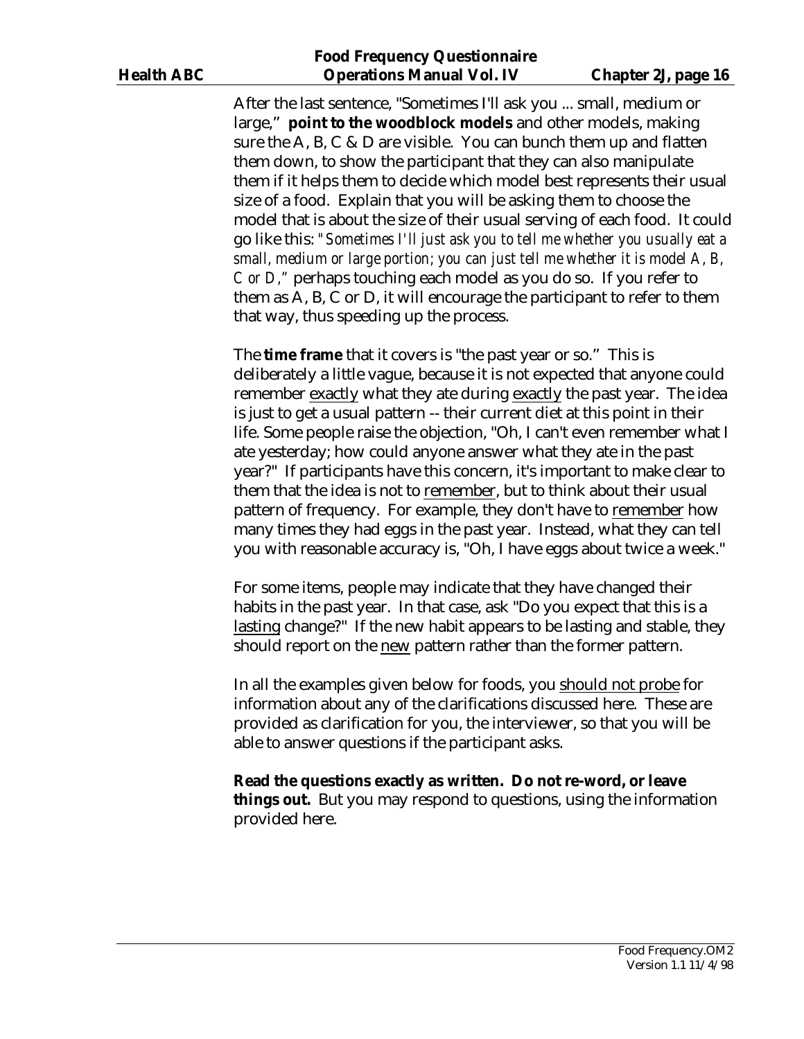#### **Food Frequency Questionnaire Health ABC Operations Manual Vol. IV Chapter 2J, page 16**

After the last sentence, "Sometimes I'll ask you ... small, medium or large," **point to the woodblock models** and other models, making sure the A, B, C & D are visible. You can bunch them up and flatten them down, to show the participant that they can also manipulate them if it helps them to decide which model best represents their usual size of a food. Explain that you will be asking them to choose the model that is about the size of their usual serving of each food. It could go like this: *"Sometimes I'll just ask you to tell me whether you usually eat a small, medium or large portion; you can just tell me whether it is model A, B, C or D,"* perhaps touching each model as you do so. If you refer to them as A, B, C or D, it will encourage the participant to refer to them that way, thus speeding up the process.

The **time frame** that it covers is "the past year or so." This is deliberately a little vague, because it is not expected that anyone could remember exactly what they ate during exactly the past year. The idea is just to get a usual pattern -- their current diet at this point in their life. Some people raise the objection, "Oh, I can't even remember what I ate yesterday; how could anyone answer what they ate in the past year?" If participants have this concern, it's important to make clear to them that the idea is not to remember, but to think about their usual pattern of frequency. For example, they don't have to remember how many times they had eggs in the past year. Instead, what they can tell you with reasonable accuracy is, "Oh, I have eggs about twice a week."

For some items, people may indicate that they have changed their habits in the past year. In that case, ask "Do you expect that this is a lasting change?" If the new habit appears to be lasting and stable, they should report on the new pattern rather than the former pattern.

In all the examples given below for foods, you should not probe for information about any of the clarifications discussed here. These are provided as clarification for you, the interviewer, so that you will be able to answer questions if the participant asks.

**Read the questions exactly as written. Do not re-word, or leave things out.** But you may respond to questions, using the information provided here.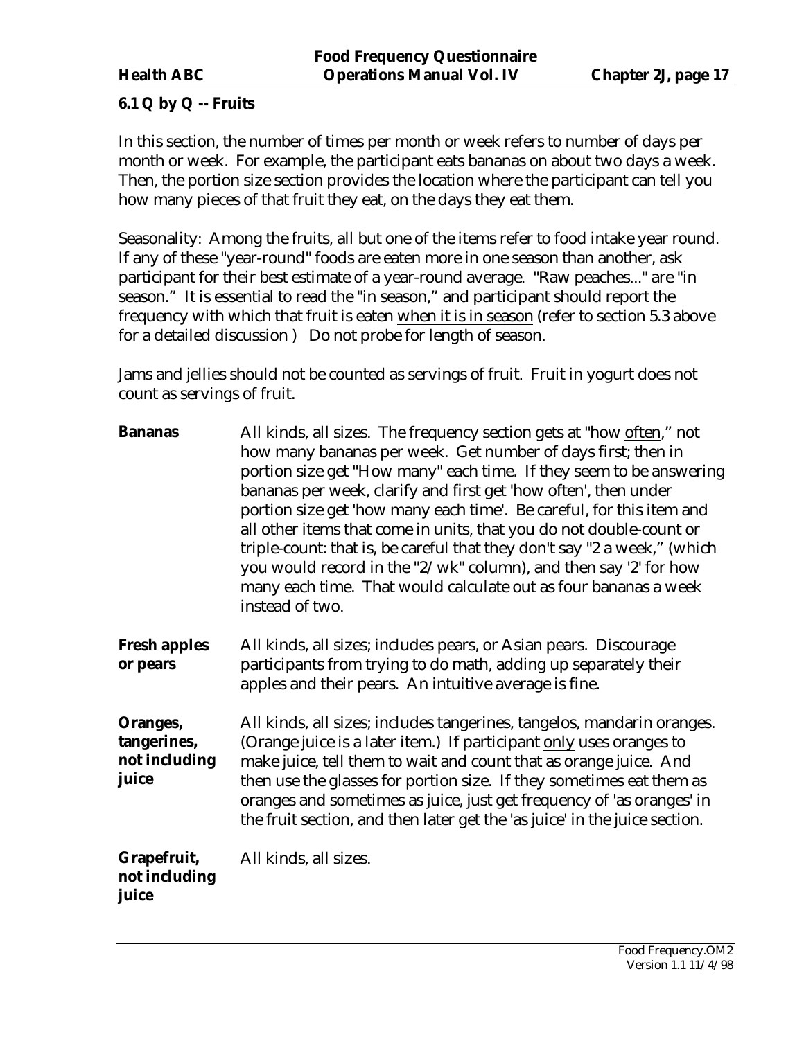## <span id="page-16-0"></span>**6.1 Q by Q -- Fruits**

In this section, the number of times per month or week refers to number of days per month or week. For example, the participant eats bananas on about two days a week. Then, the portion size section provides the location where the participant can tell you how many pieces of that fruit they eat, on the days they eat them.

Seasonality: Among the fruits, all but one of the items refer to food intake year round. If any of these "year-round" foods are eaten more in one season than another, ask participant for their best estimate of a year-round average. "Raw peaches..." are "in season." It is essential to read the "in season," and participant should report the frequency with which that fruit is eaten when it is in season (refer to section 5.3 above for a detailed discussion ) Do not probe for length of season.

Jams and jellies should not be counted as servings of fruit. Fruit in yogurt does not count as servings of fruit.

| <b>Bananas</b>                                    | All kinds, all sizes. The frequency section gets at "how often," not<br>how many bananas per week. Get number of days first; then in<br>portion size get "How many" each time. If they seem to be answering<br>bananas per week, clarify and first get 'how often', then under<br>portion size get 'how many each time'. Be careful, for this item and<br>all other items that come in units, that you do not double-count or<br>triple-count: that is, be careful that they don't say "2 a week," (which<br>you would record in the "2/wk" column), and then say '2' for how<br>many each time. That would calculate out as four bananas a week<br>instead of two. |
|---------------------------------------------------|---------------------------------------------------------------------------------------------------------------------------------------------------------------------------------------------------------------------------------------------------------------------------------------------------------------------------------------------------------------------------------------------------------------------------------------------------------------------------------------------------------------------------------------------------------------------------------------------------------------------------------------------------------------------|
| <b>Fresh apples</b><br>or pears                   | All kinds, all sizes; includes pears, or Asian pears. Discourage<br>participants from trying to do math, adding up separately their<br>apples and their pears. An intuitive average is fine.                                                                                                                                                                                                                                                                                                                                                                                                                                                                        |
| Oranges,<br>tangerines,<br>not including<br>juice | All kinds, all sizes; includes tangerines, tangelos, mandarin oranges.<br>(Orange juice is a later item.) If participant only uses oranges to<br>make juice, tell them to wait and count that as orange juice. And<br>then use the glasses for portion size. If they sometimes eat them as<br>oranges and sometimes as juice, just get frequency of 'as oranges' in<br>the fruit section, and then later get the 'as juice' in the juice section.                                                                                                                                                                                                                   |
| Grapefruit,<br>not including<br>juice             | All kinds, all sizes.                                                                                                                                                                                                                                                                                                                                                                                                                                                                                                                                                                                                                                               |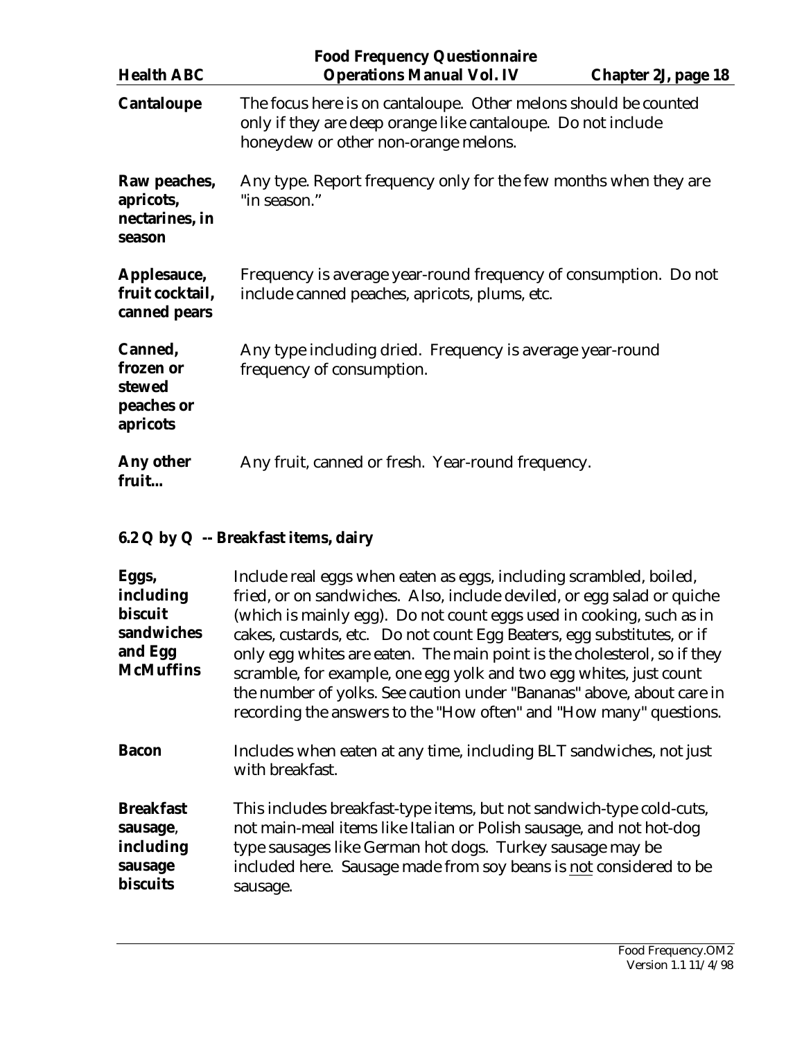<span id="page-17-0"></span>

| <b>Health ABC</b>                                        | <b>Food Frequency Questionnaire</b><br><b>Operations Manual Vol. IV</b><br>Chapter 2J, page 18                                                                          |  |
|----------------------------------------------------------|-------------------------------------------------------------------------------------------------------------------------------------------------------------------------|--|
| <b>Cantaloupe</b>                                        | The focus here is on cantaloupe. Other melons should be counted<br>only if they are deep orange like cantaloupe. Do not include<br>honeydew or other non-orange melons. |  |
| Raw peaches,<br>apricots,<br>nectarines, in<br>season    | Any type. Report frequency only for the few months when they are<br>"in season."                                                                                        |  |
| Applesauce,<br>fruit cocktail,<br>canned pears           | Frequency is average year-round frequency of consumption. Do not<br>include canned peaches, apricots, plums, etc.                                                       |  |
| Canned,<br>frozen or<br>stewed<br>peaches or<br>apricots | Any type including dried. Frequency is average year-round<br>frequency of consumption.                                                                                  |  |
| Any other<br>fruit                                       | Any fruit, canned or fresh. Year-round frequency.                                                                                                                       |  |

# **6.2 Q by Q -- Breakfast items, dairy**

| Eggs,<br>including<br>biscuit<br>sandwiches<br>and Egg<br><b>McMuffins</b> | Include real eggs when eaten as eggs, including scrambled, boiled,<br>fried, or on sandwiches. Also, include deviled, or egg salad or quiche<br>(which is mainly egg). Do not count eggs used in cooking, such as in<br>cakes, custards, etc. Do not count Egg Beaters, egg substitutes, or if<br>only egg whites are eaten. The main point is the cholesterol, so if they<br>scramble, for example, one egg yolk and two egg whites, just count<br>the number of yolks. See caution under "Bananas" above, about care in<br>recording the answers to the "How often" and "How many" questions. |
|----------------------------------------------------------------------------|-------------------------------------------------------------------------------------------------------------------------------------------------------------------------------------------------------------------------------------------------------------------------------------------------------------------------------------------------------------------------------------------------------------------------------------------------------------------------------------------------------------------------------------------------------------------------------------------------|
| <b>Bacon</b>                                                               | Includes when eaten at any time, including BLT sandwiches, not just<br>with breakfast.                                                                                                                                                                                                                                                                                                                                                                                                                                                                                                          |
| <b>Breakfast</b><br>sausage,<br>including<br>sausage<br><b>biscuits</b>    | This includes breakfast-type items, but not sandwich-type cold-cuts,<br>not main-meal items like Italian or Polish sausage, and not hot-dog<br>type sausages like German hot dogs. Turkey sausage may be<br>included here. Sausage made from soy beans is not considered to be<br>sausage.                                                                                                                                                                                                                                                                                                      |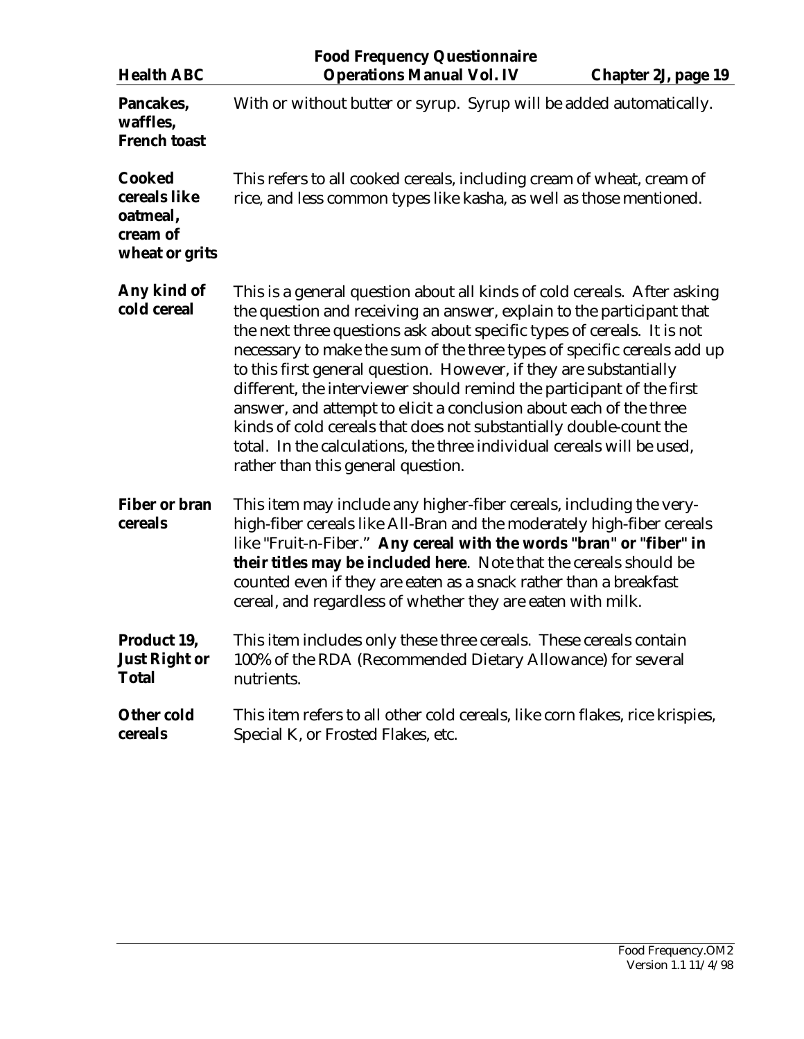|                                                                         | <b>Food Frequency Questionnaire</b>                                                                                                                                                                                                                                                                                                                                                                                                                                                                                                                                                                                                                                                                                |  |
|-------------------------------------------------------------------------|--------------------------------------------------------------------------------------------------------------------------------------------------------------------------------------------------------------------------------------------------------------------------------------------------------------------------------------------------------------------------------------------------------------------------------------------------------------------------------------------------------------------------------------------------------------------------------------------------------------------------------------------------------------------------------------------------------------------|--|
| <b>Health ABC</b>                                                       | <b>Operations Manual Vol. IV</b><br><b>Chapter 2J, page 19</b>                                                                                                                                                                                                                                                                                                                                                                                                                                                                                                                                                                                                                                                     |  |
| Pancakes,<br>waffles,<br><b>French toast</b>                            | With or without butter or syrup. Syrup will be added automatically.                                                                                                                                                                                                                                                                                                                                                                                                                                                                                                                                                                                                                                                |  |
| <b>Cooked</b><br>cereals like<br>oatmeal,<br>cream of<br>wheat or grits | This refers to all cooked cereals, including cream of wheat, cream of<br>rice, and less common types like kasha, as well as those mentioned.                                                                                                                                                                                                                                                                                                                                                                                                                                                                                                                                                                       |  |
| Any kind of<br>cold cereal                                              | This is a general question about all kinds of cold cereals. After asking<br>the question and receiving an answer, explain to the participant that<br>the next three questions ask about specific types of cereals. It is not<br>necessary to make the sum of the three types of specific cereals add up<br>to this first general question. However, if they are substantially<br>different, the interviewer should remind the participant of the first<br>answer, and attempt to elicit a conclusion about each of the three<br>kinds of cold cereals that does not substantially double-count the<br>total. In the calculations, the three individual cereals will be used,<br>rather than this general question. |  |
| <b>Fiber or bran</b><br>cereals                                         | This item may include any higher-fiber cereals, including the very-<br>high-fiber cereals like All-Bran and the moderately high-fiber cereals<br>like "Fruit-n-Fiber." Any cereal with the words "bran" or "fiber" in<br>their titles may be included here. Note that the cereals should be<br>counted even if they are eaten as a snack rather than a breakfast<br>cereal, and regardless of whether they are eaten with milk.                                                                                                                                                                                                                                                                                    |  |
| Product 19,<br><b>Just Right or</b><br><b>Total</b>                     | This item includes only these three cereals. These cereals contain<br>100% of the RDA (Recommended Dietary Allowance) for several<br>nutrients.                                                                                                                                                                                                                                                                                                                                                                                                                                                                                                                                                                    |  |
| <b>Other cold</b><br>cereals                                            | This item refers to all other cold cereals, like corn flakes, rice krispies,<br>Special K, or Frosted Flakes, etc.                                                                                                                                                                                                                                                                                                                                                                                                                                                                                                                                                                                                 |  |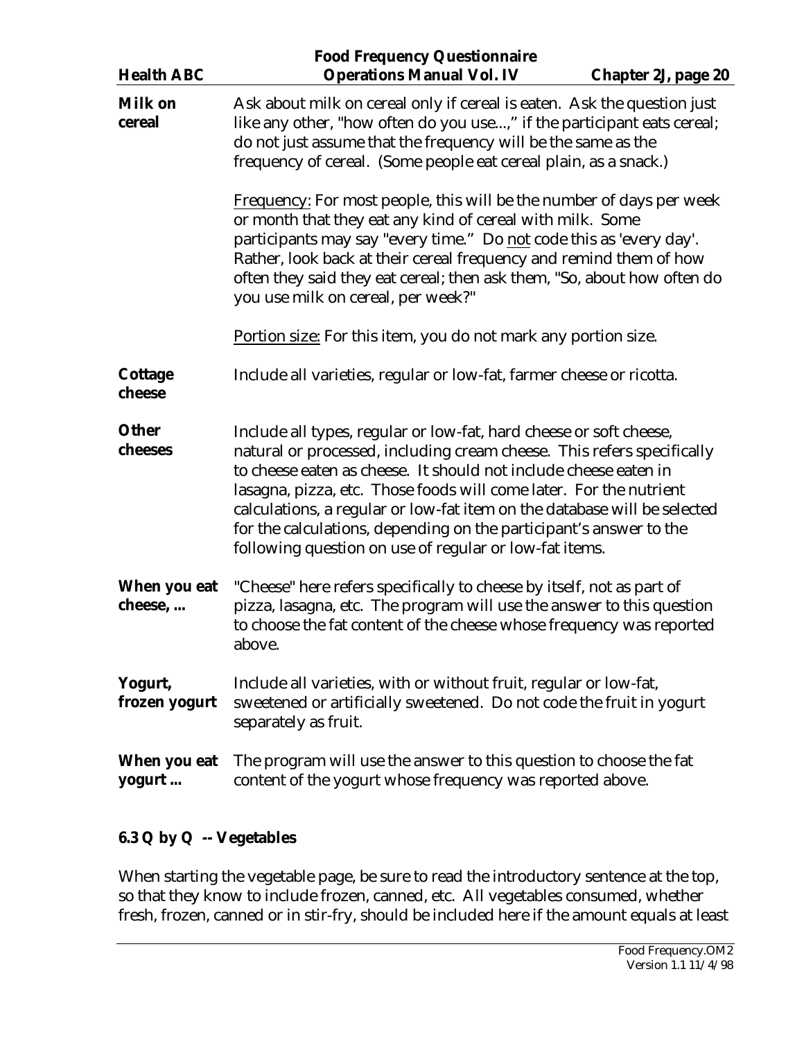<span id="page-19-0"></span>

| <b>Health ABC</b>        | <b>Food Frequency Questionnaire</b><br><b>Operations Manual Vol. IV</b><br><b>Chapter 2J, page 20</b>                                                                                                                                                                                                                                                                                                                                                                                              |
|--------------------------|----------------------------------------------------------------------------------------------------------------------------------------------------------------------------------------------------------------------------------------------------------------------------------------------------------------------------------------------------------------------------------------------------------------------------------------------------------------------------------------------------|
| <b>Milk on</b><br>cereal | Ask about milk on cereal only if cereal is eaten. Ask the question just<br>like any other, "how often do you use," if the participant eats cereal;<br>do not just assume that the frequency will be the same as the<br>frequency of cereal. (Some people eat cereal plain, as a snack.)                                                                                                                                                                                                            |
|                          | <b>Frequency:</b> For most people, this will be the number of days per week<br>or month that they eat any kind of cereal with milk. Some<br>participants may say "every time." Do not code this as 'every day'.<br>Rather, look back at their cereal frequency and remind them of how<br>often they said they eat cereal; then ask them, "So, about how often do<br>you use milk on cereal, per week?"                                                                                             |
|                          | Portion size: For this item, you do not mark any portion size.                                                                                                                                                                                                                                                                                                                                                                                                                                     |
| <b>Cottage</b><br>cheese | Include all varieties, regular or low-fat, farmer cheese or ricotta.                                                                                                                                                                                                                                                                                                                                                                                                                               |
| <b>Other</b><br>cheeses  | Include all types, regular or low-fat, hard cheese or soft cheese,<br>natural or processed, including cream cheese. This refers specifically<br>to cheese eaten as cheese. It should not include cheese eaten in<br>lasagna, pizza, etc. Those foods will come later. For the nutrient<br>calculations, a regular or low-fat item on the database will be selected<br>for the calculations, depending on the participant's answer to the<br>following question on use of regular or low-fat items. |
| When you eat<br>cheese,  | "Cheese" here refers specifically to cheese by itself, not as part of<br>pizza, lasagna, etc. The program will use the answer to this question<br>to choose the fat content of the cheese whose frequency was reported<br>above.                                                                                                                                                                                                                                                                   |
| Yogurt,<br>frozen yogurt | Include all varieties, with or without fruit, regular or low-fat,<br>sweetened or artificially sweetened. Do not code the fruit in yogurt<br>separately as fruit.                                                                                                                                                                                                                                                                                                                                  |
| When you eat<br>yogurt   | The program will use the answer to this question to choose the fat<br>content of the yogurt whose frequency was reported above.                                                                                                                                                                                                                                                                                                                                                                    |

# **6.3 Q by Q -- Vegetables**

When starting the vegetable page, be sure to read the introductory sentence at the top, so that they know to include frozen, canned, etc. All vegetables consumed, whether fresh, frozen, canned or in stir-fry, should be included here if the amount equals at least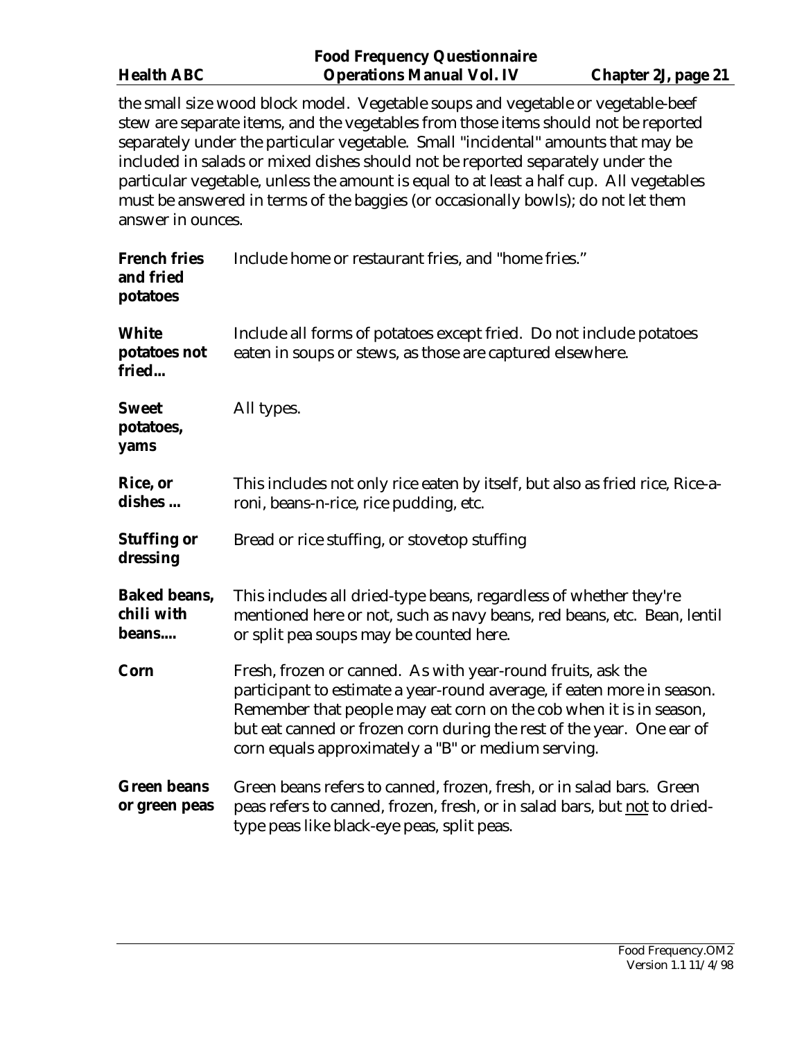|                   | <b>Food Frequency Questionnaire</b> |                     |
|-------------------|-------------------------------------|---------------------|
| <b>Health ABC</b> | <b>Operations Manual Vol. IV</b>    | Chapter 2J, page 21 |

the small size wood block model. Vegetable soups and vegetable or vegetable-beef stew are separate items, and the vegetables from those items should not be reported separately under the particular vegetable. Small "incidental" amounts that may be included in salads or mixed dishes should not be reported separately under the particular vegetable, unless the amount is equal to at least a half cup. All vegetables must be answered in terms of the baggies (or occasionally bowls); do not let them answer in ounces.

| <b>French fries</b><br>and fried<br>potatoes | Include home or restaurant fries, and "home fries."                                                                                                                                                                                                                                                                                        |  |
|----------------------------------------------|--------------------------------------------------------------------------------------------------------------------------------------------------------------------------------------------------------------------------------------------------------------------------------------------------------------------------------------------|--|
| <b>White</b><br>potatoes not<br>fried        | Include all forms of potatoes except fried. Do not include potatoes<br>eaten in soups or stews, as those are captured elsewhere.                                                                                                                                                                                                           |  |
| <b>Sweet</b><br>potatoes,<br>yams            | All types.                                                                                                                                                                                                                                                                                                                                 |  |
| Rice, or<br>dishes                           | This includes not only rice eaten by itself, but also as fried rice, Rice-a-<br>roni, beans-n-rice, rice pudding, etc.                                                                                                                                                                                                                     |  |
| <b>Stuffing or</b><br>dressing               | Bread or rice stuffing, or stovetop stuffing                                                                                                                                                                                                                                                                                               |  |
| <b>Baked beans,</b><br>chili with<br>beans   | This includes all dried-type beans, regardless of whether they're<br>mentioned here or not, such as navy beans, red beans, etc. Bean, lentil<br>or split pea soups may be counted here.                                                                                                                                                    |  |
| Corn                                         | Fresh, frozen or canned. As with year-round fruits, ask the<br>participant to estimate a year-round average, if eaten more in season.<br>Remember that people may eat corn on the cob when it is in season,<br>but eat canned or frozen corn during the rest of the year. One ear of<br>corn equals approximately a "B" or medium serving. |  |
| <b>Green beans</b><br>or green peas          | Green beans refers to canned, frozen, fresh, or in salad bars. Green<br>peas refers to canned, frozen, fresh, or in salad bars, but not to dried-<br>type peas like black-eye peas, split peas.                                                                                                                                            |  |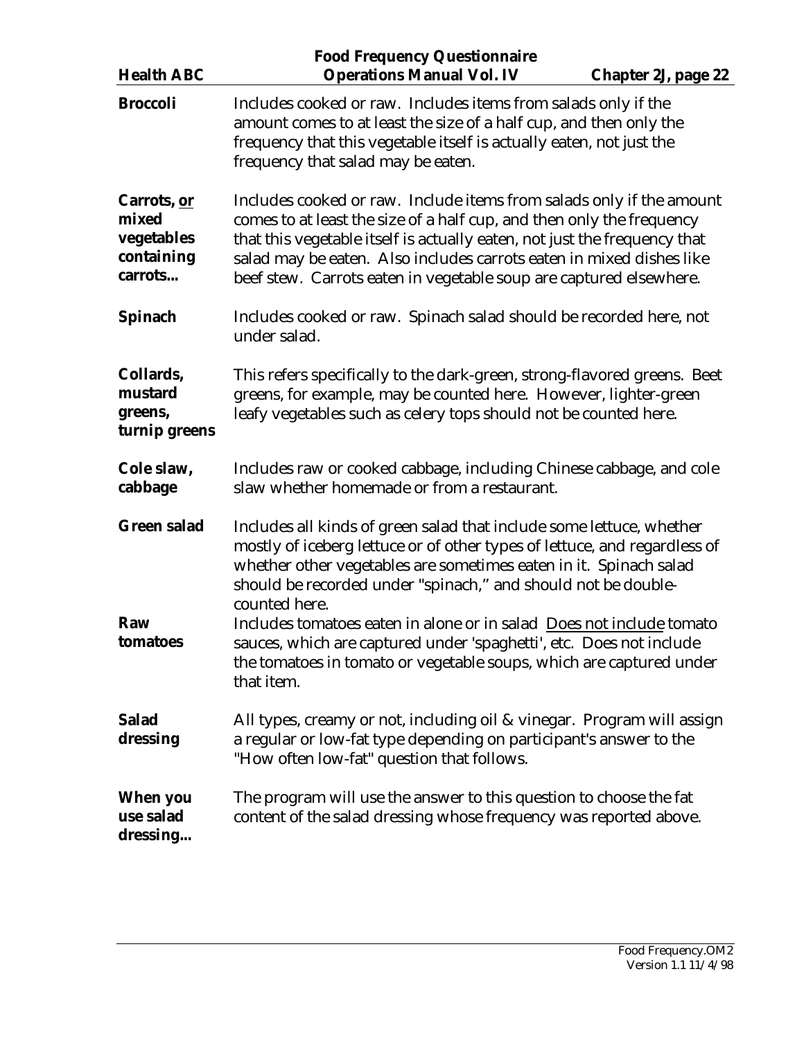| <b>Health ABC</b>                                           | <b>Food Frequency Questionnaire</b><br><b>Operations Manual Vol. IV</b>                                                                                                                                                                                                                                                                                                          | <b>Chapter 2J, page 22</b> |
|-------------------------------------------------------------|----------------------------------------------------------------------------------------------------------------------------------------------------------------------------------------------------------------------------------------------------------------------------------------------------------------------------------------------------------------------------------|----------------------------|
| <b>Broccoli</b>                                             | Includes cooked or raw. Includes items from salads only if the<br>amount comes to at least the size of a half cup, and then only the<br>frequency that this vegetable itself is actually eaten, not just the<br>frequency that salad may be eaten.                                                                                                                               |                            |
| Carrots, or<br>mixed<br>vegetables<br>containing<br>carrots | Includes cooked or raw. Include items from salads only if the amount<br>comes to at least the size of a half cup, and then only the frequency<br>that this vegetable itself is actually eaten, not just the frequency that<br>salad may be eaten. Also includes carrots eaten in mixed dishes like<br>beef stew. Carrots eaten in vegetable soup are captured elsewhere.         |                            |
| Spinach                                                     | Includes cooked or raw. Spinach salad should be recorded here, not<br>under salad.                                                                                                                                                                                                                                                                                               |                            |
| Collards,<br>mustard<br>greens,<br>turnip greens            | This refers specifically to the dark-green, strong-flavored greens. Beet<br>greens, for example, may be counted here. However, lighter-green<br>leafy vegetables such as celery tops should not be counted here.                                                                                                                                                                 |                            |
| Cole slaw,<br>cabbage                                       | Includes raw or cooked cabbage, including Chinese cabbage, and cole<br>slaw whether homemade or from a restaurant.                                                                                                                                                                                                                                                               |                            |
| <b>Green salad</b><br>Raw                                   | Includes all kinds of green salad that include some lettuce, whether<br>mostly of iceberg lettuce or of other types of lettuce, and regardless of<br>whether other vegetables are sometimes eaten in it. Spinach salad<br>should be recorded under "spinach," and should not be double-<br>counted here.<br>Includes tomatoes eaten in alone or in salad Does not include tomato |                            |
| tomatoes                                                    | sauces, which are captured under 'spaghetti', etc. Does not include<br>the tomatoes in tomato or vegetable soups, which are captured under<br>that item.                                                                                                                                                                                                                         |                            |
| <b>Salad</b><br>dressing                                    | All types, creamy or not, including oil & vinegar. Program will assign<br>a regular or low-fat type depending on participant's answer to the<br>"How often low-fat" question that follows.                                                                                                                                                                                       |                            |
| When you<br>use salad<br>dressing                           | The program will use the answer to this question to choose the fat<br>content of the salad dressing whose frequency was reported above.                                                                                                                                                                                                                                          |                            |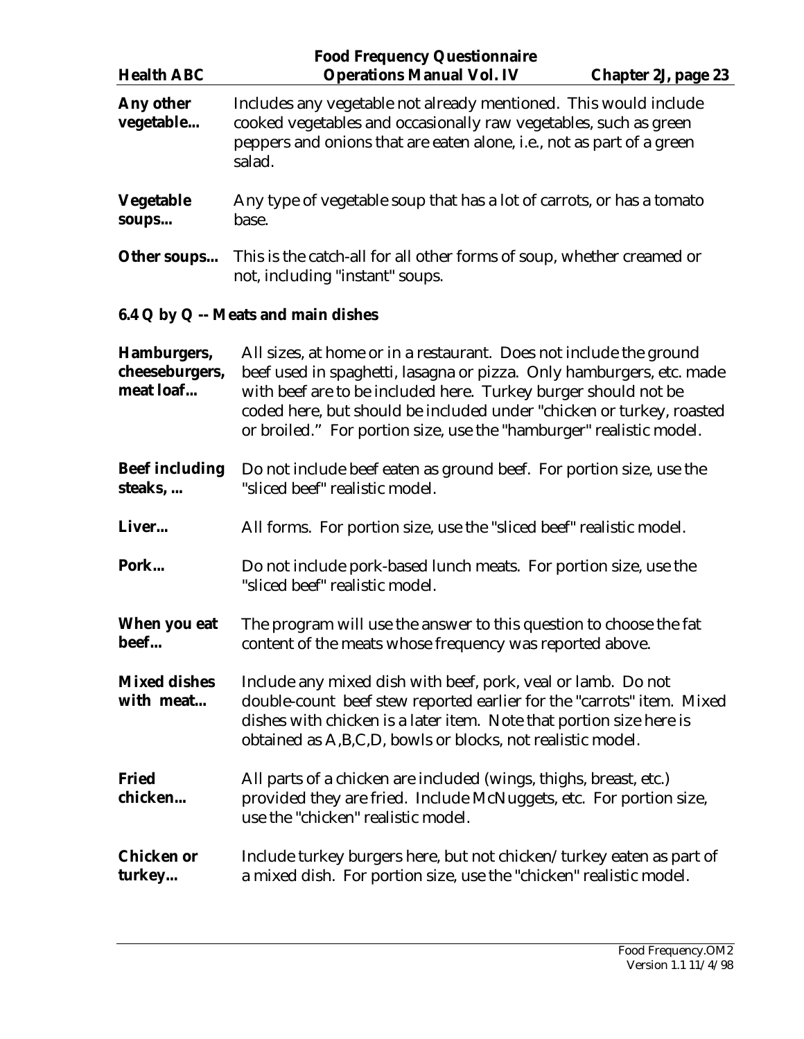<span id="page-22-0"></span>

| <b>Health ABC</b>                          | <b>Food Frequency Questionnaire</b><br><b>Operations Manual Vol. IV</b><br>Chapter 2J, page 23                                                                                                                                                                                                                                                              |  |
|--------------------------------------------|-------------------------------------------------------------------------------------------------------------------------------------------------------------------------------------------------------------------------------------------------------------------------------------------------------------------------------------------------------------|--|
| Any other<br>vegetable                     | Includes any vegetable not already mentioned. This would include<br>cooked vegetables and occasionally raw vegetables, such as green<br>peppers and onions that are eaten alone, i.e., not as part of a green<br>salad.                                                                                                                                     |  |
| <b>Vegetable</b><br>soups                  | Any type of vegetable soup that has a lot of carrots, or has a tomato<br>base.                                                                                                                                                                                                                                                                              |  |
| Other soups                                | This is the catch-all for all other forms of soup, whether creamed or<br>not, including "instant" soups.                                                                                                                                                                                                                                                    |  |
|                                            | 6.4 Q by Q -- Meats and main dishes                                                                                                                                                                                                                                                                                                                         |  |
| Hamburgers,<br>cheeseburgers,<br>meat loaf | All sizes, at home or in a restaurant. Does not include the ground<br>beef used in spaghetti, lasagna or pizza. Only hamburgers, etc. made<br>with beef are to be included here. Turkey burger should not be<br>coded here, but should be included under "chicken or turkey, roasted<br>or broiled." For portion size, use the "hamburger" realistic model. |  |
| <b>Beef including</b><br>steaks,           | Do not include beef eaten as ground beef. For portion size, use the<br>"sliced beef" realistic model.                                                                                                                                                                                                                                                       |  |
| Liver                                      | All forms. For portion size, use the "sliced beef" realistic model.                                                                                                                                                                                                                                                                                         |  |
| Pork                                       | Do not include pork-based lunch meats. For portion size, use the<br>"sliced beef" realistic model.                                                                                                                                                                                                                                                          |  |
| When you eat<br>beef                       | The program will use the answer to this question to choose the fat<br>content of the meats whose frequency was reported above.                                                                                                                                                                                                                              |  |
| <b>Mixed dishes</b><br>with meat           | Include any mixed dish with beef, pork, veal or lamb. Do not<br>double-count beef stew reported earlier for the "carrots" item. Mixed<br>dishes with chicken is a later item. Note that portion size here is<br>obtained as A, B, C, D, bowls or blocks, not realistic model.                                                                               |  |
| <b>Fried</b><br>chicken                    | All parts of a chicken are included (wings, thighs, breast, etc.)<br>provided they are fried. Include McNuggets, etc. For portion size,<br>use the "chicken" realistic model.                                                                                                                                                                               |  |
| <b>Chicken or</b><br>turkey                | Include turkey burgers here, but not chicken/turkey eaten as part of<br>a mixed dish. For portion size, use the "chicken" realistic model.                                                                                                                                                                                                                  |  |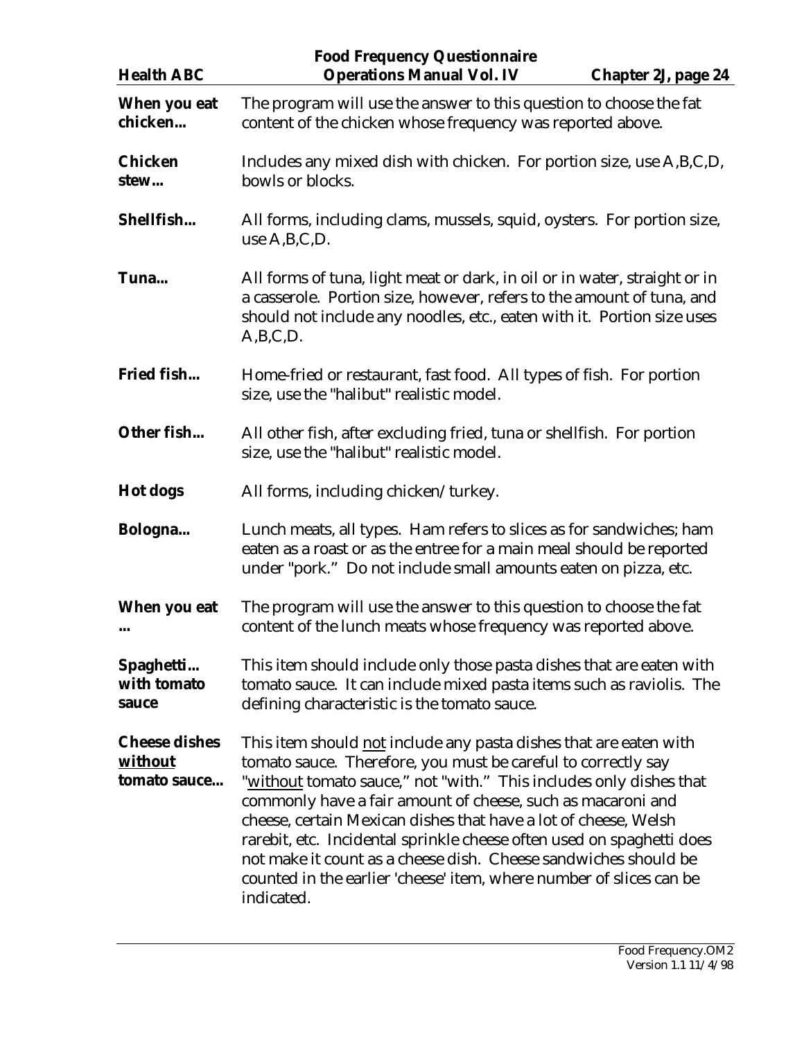| <b>Health ABC</b>                               | <b>Food Frequency Questionnaire</b><br><b>Operations Manual Vol. IV</b>                                                                                                                                                                                                                                                                                                                                                                                                                                                                                                     | Chapter 2J, page 24 |
|-------------------------------------------------|-----------------------------------------------------------------------------------------------------------------------------------------------------------------------------------------------------------------------------------------------------------------------------------------------------------------------------------------------------------------------------------------------------------------------------------------------------------------------------------------------------------------------------------------------------------------------------|---------------------|
| When you eat<br>chicken                         | The program will use the answer to this question to choose the fat<br>content of the chicken whose frequency was reported above.                                                                                                                                                                                                                                                                                                                                                                                                                                            |                     |
| <b>Chicken</b><br>stew                          | Includes any mixed dish with chicken. For portion size, use A,B,C,D,<br>bowls or blocks.                                                                                                                                                                                                                                                                                                                                                                                                                                                                                    |                     |
| Shellfish                                       | All forms, including clams, mussels, squid, oysters. For portion size,<br>use $A, B, C, D$ .                                                                                                                                                                                                                                                                                                                                                                                                                                                                                |                     |
| Tuna                                            | All forms of tuna, light meat or dark, in oil or in water, straight or in<br>a casserole. Portion size, however, refers to the amount of tuna, and<br>should not include any noodles, etc., eaten with it. Portion size uses<br>A,B,C,D.                                                                                                                                                                                                                                                                                                                                    |                     |
| Fried fish                                      | Home-fried or restaurant, fast food. All types of fish. For portion<br>size, use the "halibut" realistic model.                                                                                                                                                                                                                                                                                                                                                                                                                                                             |                     |
| Other fish                                      | All other fish, after excluding fried, tuna or shellfish. For portion<br>size, use the "halibut" realistic model.                                                                                                                                                                                                                                                                                                                                                                                                                                                           |                     |
| <b>Hot dogs</b>                                 | All forms, including chicken/turkey.                                                                                                                                                                                                                                                                                                                                                                                                                                                                                                                                        |                     |
| Bologna                                         | Lunch meats, all types. Ham refers to slices as for sandwiches; ham<br>eaten as a roast or as the entree for a main meal should be reported<br>under "pork." Do not include small amounts eaten on pizza, etc.                                                                                                                                                                                                                                                                                                                                                              |                     |
| When you eat                                    | The program will use the answer to this question to choose the fat<br>content of the lunch meats whose frequency was reported above.                                                                                                                                                                                                                                                                                                                                                                                                                                        |                     |
| Spaghetti<br>with tomato<br>sauce               | This item should include only those pasta dishes that are eaten with<br>tomato sauce. It can include mixed pasta items such as raviolis. The<br>defining characteristic is the tomato sauce.                                                                                                                                                                                                                                                                                                                                                                                |                     |
| <b>Cheese dishes</b><br>without<br>tomato sauce | This item should not include any pasta dishes that are eaten with<br>tomato sauce. Therefore, you must be careful to correctly say<br>"without tomato sauce," not "with." This includes only dishes that<br>commonly have a fair amount of cheese, such as macaroni and<br>cheese, certain Mexican dishes that have a lot of cheese, Welsh<br>rarebit, etc. Incidental sprinkle cheese often used on spaghetti does<br>not make it count as a cheese dish. Cheese sandwiches should be<br>counted in the earlier 'cheese' item, where number of slices can be<br>indicated. |                     |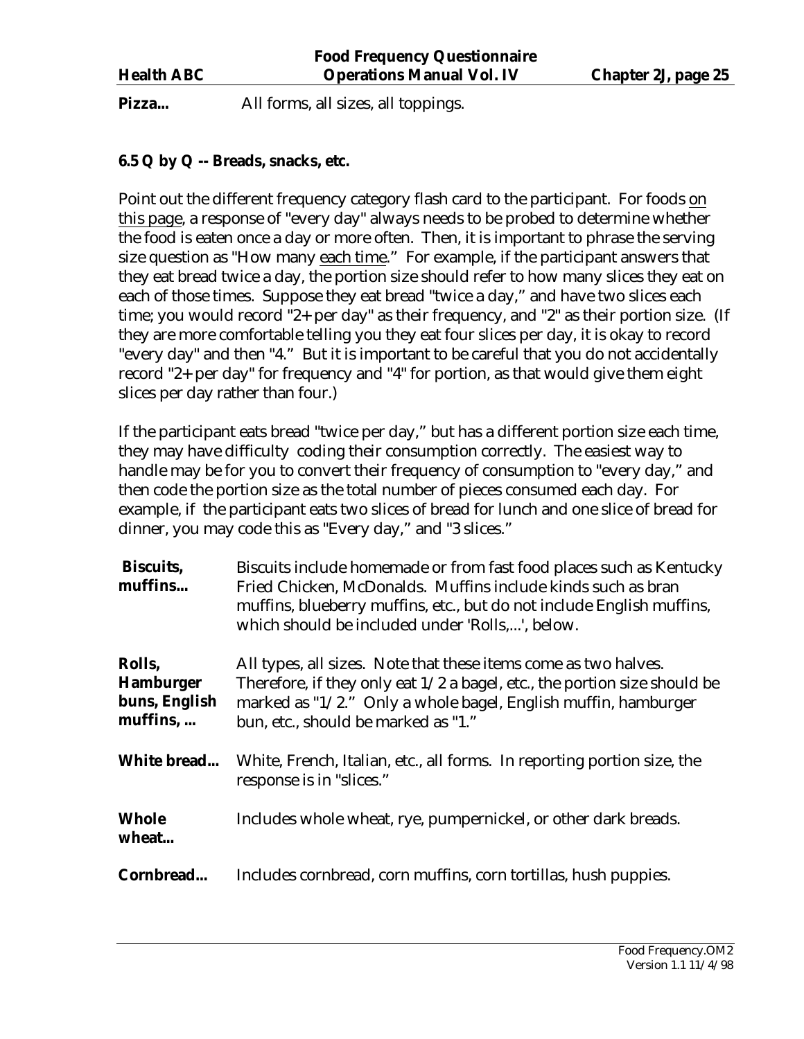<span id="page-24-0"></span>Pizza... All forms, all sizes, all toppings.

#### **6.5 Q by Q -- Breads, snacks, etc.**

Point out the different frequency category flash card to the participant. For foods on this page, a response of "every day" always needs to be probed to determine whether the food is eaten once a day or more often. Then, it is important to phrase the serving size question as "How many each time." For example, if the participant answers that they eat bread twice a day, the portion size should refer to how many slices they eat on each of those times. Suppose they eat bread "twice a day," and have two slices each time; you would record "2+ per day" as their frequency, and "2" as their portion size. (If they are more comfortable telling you they eat four slices per day, it is okay to record "every day" and then "4." But it is important to be careful that you do not accidentally record "2+ per day" for frequency and "4" for portion, as that would give them eight slices per day rather than four.)

If the participant eats bread "twice per day," but has a different portion size each time, they may have difficulty coding their consumption correctly. The easiest way to handle may be for you to convert their frequency of consumption to "every day," and then code the portion size as the total number of pieces consumed each day. For example, if the participant eats two slices of bread for lunch and one slice of bread for dinner, you may code this as "Every day," and "3 slices."

| <b>Biscuits,</b><br>muffins                             | Biscuits include homemade or from fast food places such as Kentucky<br>Fried Chicken, McDonalds. Muffins include kinds such as bran<br>muffins, blueberry muffins, etc., but do not include English muffins,<br>which should be included under 'Rolls,', below.<br>All types, all sizes. Note that these items come as two halves.<br>Therefore, if they only eat $1/2$ a bagel, etc., the portion size should be<br>marked as "1/2." Only a whole bagel, English muffin, hamburger<br>bun, etc., should be marked as "1." |  |
|---------------------------------------------------------|----------------------------------------------------------------------------------------------------------------------------------------------------------------------------------------------------------------------------------------------------------------------------------------------------------------------------------------------------------------------------------------------------------------------------------------------------------------------------------------------------------------------------|--|
| Rolls,<br><b>Hamburger</b><br>buns, English<br>muffins, |                                                                                                                                                                                                                                                                                                                                                                                                                                                                                                                            |  |
| White bread                                             | White, French, Italian, etc., all forms. In reporting portion size, the<br>response is in "slices."                                                                                                                                                                                                                                                                                                                                                                                                                        |  |
| <b>Whole</b><br>wheat                                   | Includes whole wheat, rye, pumpernickel, or other dark breads.                                                                                                                                                                                                                                                                                                                                                                                                                                                             |  |
| Cornbread                                               | Includes cornbread, corn muffins, corn tortillas, hush puppies.                                                                                                                                                                                                                                                                                                                                                                                                                                                            |  |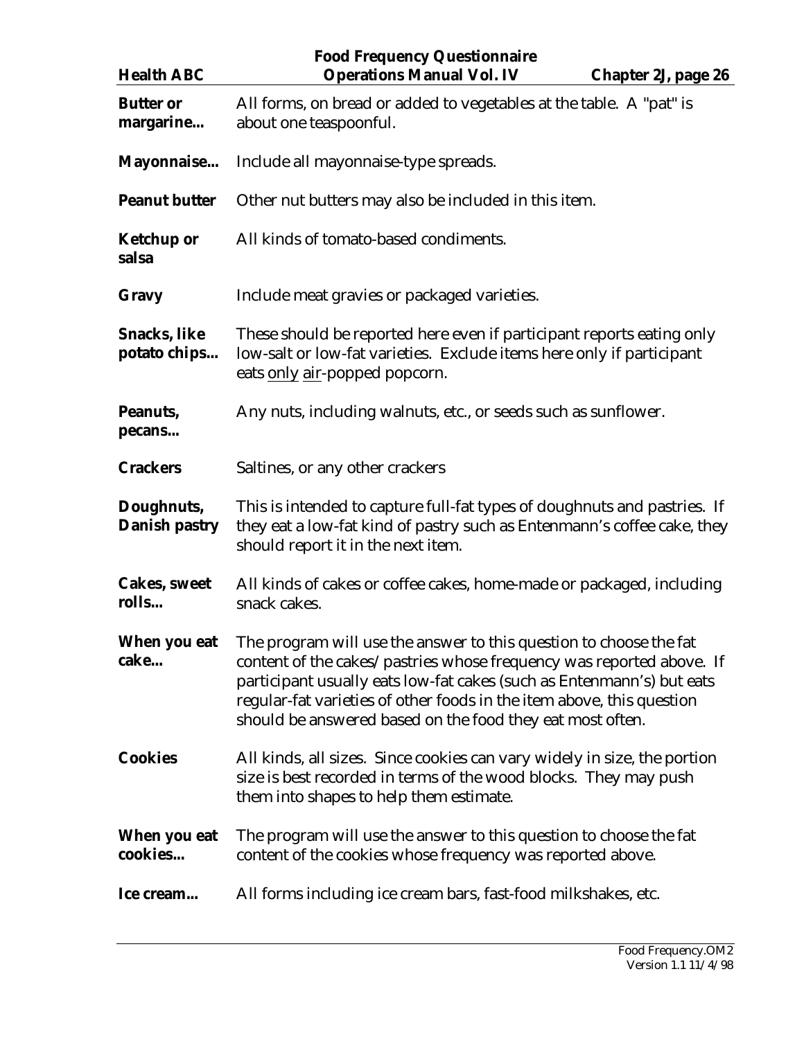| <b>Health ABC</b>                   | <b>Food Frequency Questionnaire</b><br><b>Operations Manual Vol. IV</b><br><b>Chapter 2J, page 26</b>                                                                                                                                                                                                                                                     |  |
|-------------------------------------|-----------------------------------------------------------------------------------------------------------------------------------------------------------------------------------------------------------------------------------------------------------------------------------------------------------------------------------------------------------|--|
| <b>Butter or</b><br>margarine       | All forms, on bread or added to vegetables at the table. A "pat" is<br>about one teaspoonful.                                                                                                                                                                                                                                                             |  |
| Mayonnaise                          | Include all mayonnaise-type spreads.                                                                                                                                                                                                                                                                                                                      |  |
| <b>Peanut butter</b>                | Other nut butters may also be included in this item.                                                                                                                                                                                                                                                                                                      |  |
| <b>Ketchup or</b><br>salsa          | All kinds of tomato-based condiments.                                                                                                                                                                                                                                                                                                                     |  |
| Gravy                               | Include meat gravies or packaged varieties.                                                                                                                                                                                                                                                                                                               |  |
| <b>Snacks, like</b><br>potato chips | These should be reported here even if participant reports eating only<br>low-salt or low-fat varieties. Exclude items here only if participant<br>eats only air-popped popcorn.                                                                                                                                                                           |  |
| Peanuts,<br>pecans                  | Any nuts, including walnuts, etc., or seeds such as sunflower.                                                                                                                                                                                                                                                                                            |  |
| <b>Crackers</b>                     | Saltines, or any other crackers                                                                                                                                                                                                                                                                                                                           |  |
| Doughnuts,<br>Danish pastry         | This is intended to capture full-fat types of doughnuts and pastries. If<br>they eat a low-fat kind of pastry such as Entenmann's coffee cake, they<br>should report it in the next item.                                                                                                                                                                 |  |
| <b>Cakes, sweet</b><br>rolls        | All kinds of cakes or coffee cakes, home-made or packaged, including<br>snack cakes.                                                                                                                                                                                                                                                                      |  |
| When you eat<br>cake                | The program will use the answer to this question to choose the fat<br>content of the cakes/pastries whose frequency was reported above. If<br>participant usually eats low-fat cakes (such as Entenmann's) but eats<br>regular-fat varieties of other foods in the item above, this question<br>should be answered based on the food they eat most often. |  |
| <b>Cookies</b>                      | All kinds, all sizes. Since cookies can vary widely in size, the portion<br>size is best recorded in terms of the wood blocks. They may push<br>them into shapes to help them estimate.                                                                                                                                                                   |  |
| When you eat<br>cookies             | The program will use the answer to this question to choose the fat<br>content of the cookies whose frequency was reported above.                                                                                                                                                                                                                          |  |
| Ice cream                           | All forms including ice cream bars, fast-food milkshakes, etc.                                                                                                                                                                                                                                                                                            |  |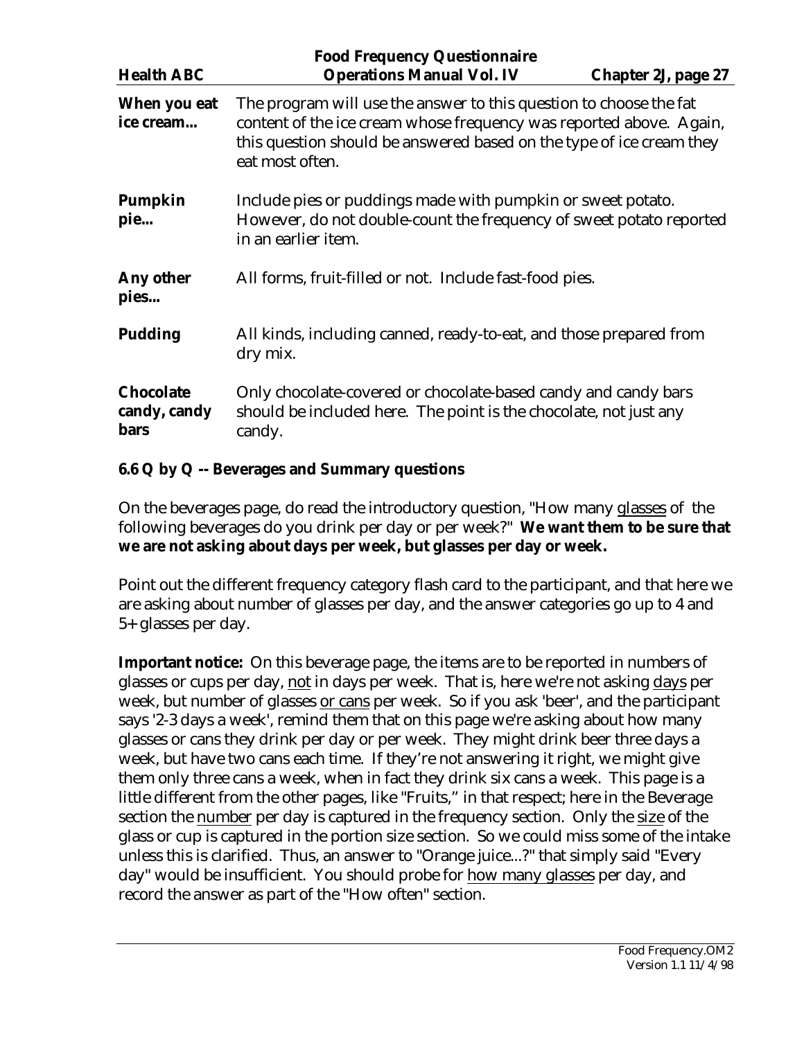<span id="page-26-0"></span>

| <b>Health ABC</b>                               | <b>Food Frequency Questionnaire</b><br><b>Operations Manual Vol. IV</b><br><b>Chapter 2J, page 27</b>                                                                                                                                |  |
|-------------------------------------------------|--------------------------------------------------------------------------------------------------------------------------------------------------------------------------------------------------------------------------------------|--|
| When you eat<br>ice cream                       | The program will use the answer to this question to choose the fat<br>content of the ice cream whose frequency was reported above. Again,<br>this question should be answered based on the type of ice cream they<br>eat most often. |  |
| Pumpkin<br>pie                                  | Include pies or puddings made with pumpkin or sweet potato.<br>However, do not double-count the frequency of sweet potato reported<br>in an earlier item.                                                                            |  |
| Any other<br>pies                               | All forms, fruit-filled or not. Include fast-food pies.                                                                                                                                                                              |  |
| <b>Pudding</b>                                  | All kinds, including canned, ready-to-eat, and those prepared from<br>dry mix.                                                                                                                                                       |  |
| <b>Chocolate</b><br>candy, candy<br><b>bars</b> | Only chocolate-covered or chocolate-based candy and candy bars<br>should be included here. The point is the chocolate, not just any<br>candy.                                                                                        |  |

## **6.6 Q by Q -- Beverages and Summary questions**

On the beverages page, do read the introductory question, "How many glasses of the following beverages do you drink per day or per week?" **We want them to be sure that we are not asking about days per week, but glasses per day or week.** 

Point out the different frequency category flash card to the participant, and that here we are asking about number of glasses per day, and the answer categories go up to 4 and 5+ glasses per day.

**Important notice:** On this beverage page, the items are to be reported in numbers of glasses or cups per day, not in days per week. That is, here we're not asking days per week, but number of glasses or cans per week. So if you ask 'beer', and the participant says '2-3 days a week', remind them that on this page we're asking about how many glasses or cans they drink per day or per week. They might drink beer three days a week, but have two cans each time. If they're not answering it right, we might give them only three cans a week, when in fact they drink six cans a week. This page is a little different from the other pages, like "Fruits," in that respect; here in the Beverage section the number per day is captured in the frequency section. Only the size of the glass or cup is captured in the portion size section. So we could miss some of the intake unless this is clarified. Thus, an answer to "Orange juice...?" that simply said "Every day" would be insufficient. You should probe for how many glasses per day, and record the answer as part of the "How often" section.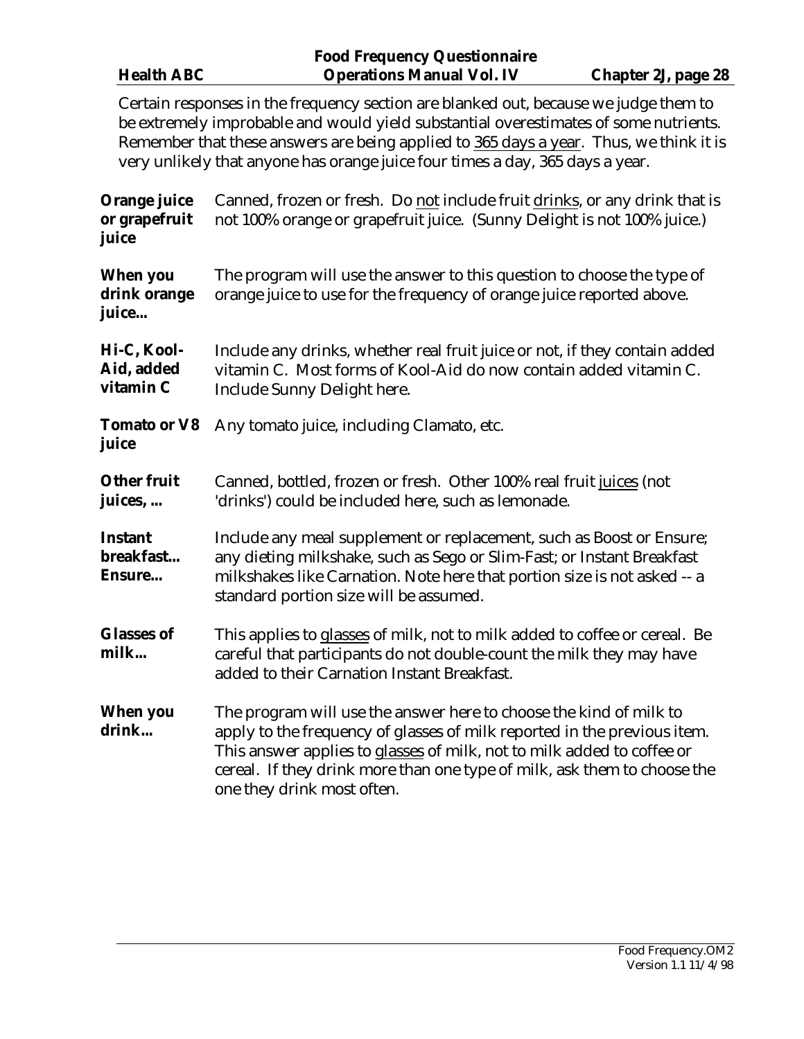| <b>Health ABC</b>                      | <b>Food Frequency Questionnaire</b><br><b>Operations Manual Vol. IV</b>                                                                                                                                                                                                                                                                                 | <b>Chapter 2J, page 28</b> |
|----------------------------------------|---------------------------------------------------------------------------------------------------------------------------------------------------------------------------------------------------------------------------------------------------------------------------------------------------------------------------------------------------------|----------------------------|
|                                        | Certain responses in the frequency section are blanked out, because we judge them to<br>be extremely improbable and would yield substantial overestimates of some nutrients.<br>Remember that these answers are being applied to 365 days a year. Thus, we think it is<br>very unlikely that anyone has orange juice four times a day, 365 days a year. |                            |
| Orange juice<br>or grapefruit<br>juice | Canned, frozen or fresh. Do not include fruit drinks, or any drink that is<br>not 100% orange or grapefruit juice. (Sunny Delight is not 100% juice.)                                                                                                                                                                                                   |                            |
| When you<br>drink orange<br>juice      | The program will use the answer to this question to choose the type of<br>orange juice to use for the frequency of orange juice reported above.                                                                                                                                                                                                         |                            |
| Hi-C, Kool-<br>Aid, added<br>vitamin C | Include any drinks, whether real fruit juice or not, if they contain added<br>vitamin C. Most forms of Kool-Aid do now contain added vitamin C.<br>Include Sunny Delight here.                                                                                                                                                                          |                            |
| <b>Tomato or V8</b><br>juice           | Any tomato juice, including Clamato, etc.                                                                                                                                                                                                                                                                                                               |                            |
| <b>Other fruit</b><br>juices,          | Canned, bottled, frozen or fresh. Other 100% real fruit juices (not<br>'drinks') could be included here, such as lemonade.                                                                                                                                                                                                                              |                            |
| <b>Instant</b><br>breakfast<br>Ensure  | Include any meal supplement or replacement, such as Boost or Ensure;<br>any dieting milkshake, such as Sego or Slim-Fast; or Instant Breakfast<br>milkshakes like Carnation. Note here that portion size is not asked -- a<br>standard portion size will be assumed.                                                                                    |                            |
| <b>Glasses of</b><br>milk              | This applies to glasses of milk, not to milk added to coffee or cereal. Be<br>careful that participants do not double-count the milk they may have<br>added to their Carnation Instant Breakfast.                                                                                                                                                       |                            |
| <b>When you</b><br>drink               | The program will use the answer here to choose the kind of milk to<br>apply to the frequency of glasses of milk reported in the previous item.<br>This answer applies to glasses of milk, not to milk added to coffee or<br>cereal. If they drink more than one type of milk, ask them to choose the<br>one they drink most often.                      |                            |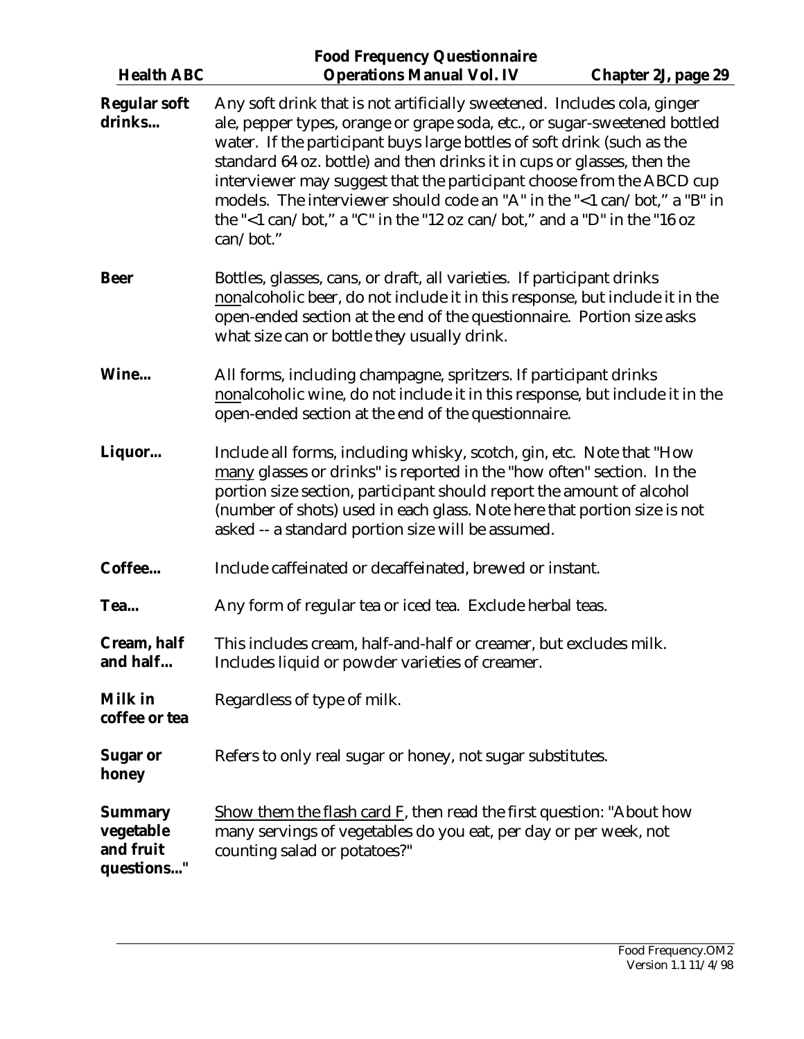| <b>Health ABC</b>                                      | <b>Food Frequency Questionnaire</b><br><b>Operations Manual Vol. IV</b>                                                                                                                                                                                                                                                                                                                                                                                                                                                                                  | <b>Chapter 2J, page 29</b> |
|--------------------------------------------------------|----------------------------------------------------------------------------------------------------------------------------------------------------------------------------------------------------------------------------------------------------------------------------------------------------------------------------------------------------------------------------------------------------------------------------------------------------------------------------------------------------------------------------------------------------------|----------------------------|
| <b>Regular soft</b><br>drinks                          | Any soft drink that is not artificially sweetened. Includes cola, ginger<br>ale, pepper types, orange or grape soda, etc., or sugar-sweetened bottled<br>water. If the participant buys large bottles of soft drink (such as the<br>standard 64 oz. bottle) and then drinks it in cups or glasses, then the<br>interviewer may suggest that the participant choose from the ABCD cup<br>models. The interviewer should code an "A" in the "<1 can/bot," a "B" in<br>the "<1 can/bot," a "C" in the "12 oz can/bot," and a "D" in the "16 oz<br>can/bot." |                            |
| <b>Beer</b>                                            | Bottles, glasses, cans, or draft, all varieties. If participant drinks<br>nonalcoholic beer, do not include it in this response, but include it in the<br>open-ended section at the end of the questionnaire. Portion size asks<br>what size can or bottle they usually drink.                                                                                                                                                                                                                                                                           |                            |
| Wine                                                   | All forms, including champagne, spritzers. If participant drinks<br>nonalcoholic wine, do not include it in this response, but include it in the<br>open-ended section at the end of the questionnaire.                                                                                                                                                                                                                                                                                                                                                  |                            |
| Liquor                                                 | Include all forms, including whisky, scotch, gin, etc. Note that "How<br>many glasses or drinks" is reported in the "how often" section. In the<br>portion size section, participant should report the amount of alcohol<br>(number of shots) used in each glass. Note here that portion size is not<br>asked -- a standard portion size will be assumed.                                                                                                                                                                                                |                            |
| Coffee                                                 | Include caffeinated or decaffeinated, brewed or instant.                                                                                                                                                                                                                                                                                                                                                                                                                                                                                                 |                            |
| Tea                                                    | Any form of regular tea or iced tea. Exclude herbal teas.                                                                                                                                                                                                                                                                                                                                                                                                                                                                                                |                            |
| Cream, half<br>and half                                | This includes cream, half-and-half or creamer, but excludes milk.<br>Includes liquid or powder varieties of creamer.                                                                                                                                                                                                                                                                                                                                                                                                                                     |                            |
| Milk in<br>coffee or tea                               | Regardless of type of milk.                                                                                                                                                                                                                                                                                                                                                                                                                                                                                                                              |                            |
| <b>Sugar or</b><br>honey                               | Refers to only real sugar or honey, not sugar substitutes.                                                                                                                                                                                                                                                                                                                                                                                                                                                                                               |                            |
| <b>Summary</b><br>vegetable<br>and fruit<br>questions" | Show them the flash card $F$ , then read the first question: "About how<br>many servings of vegetables do you eat, per day or per week, not<br>counting salad or potatoes?"                                                                                                                                                                                                                                                                                                                                                                              |                            |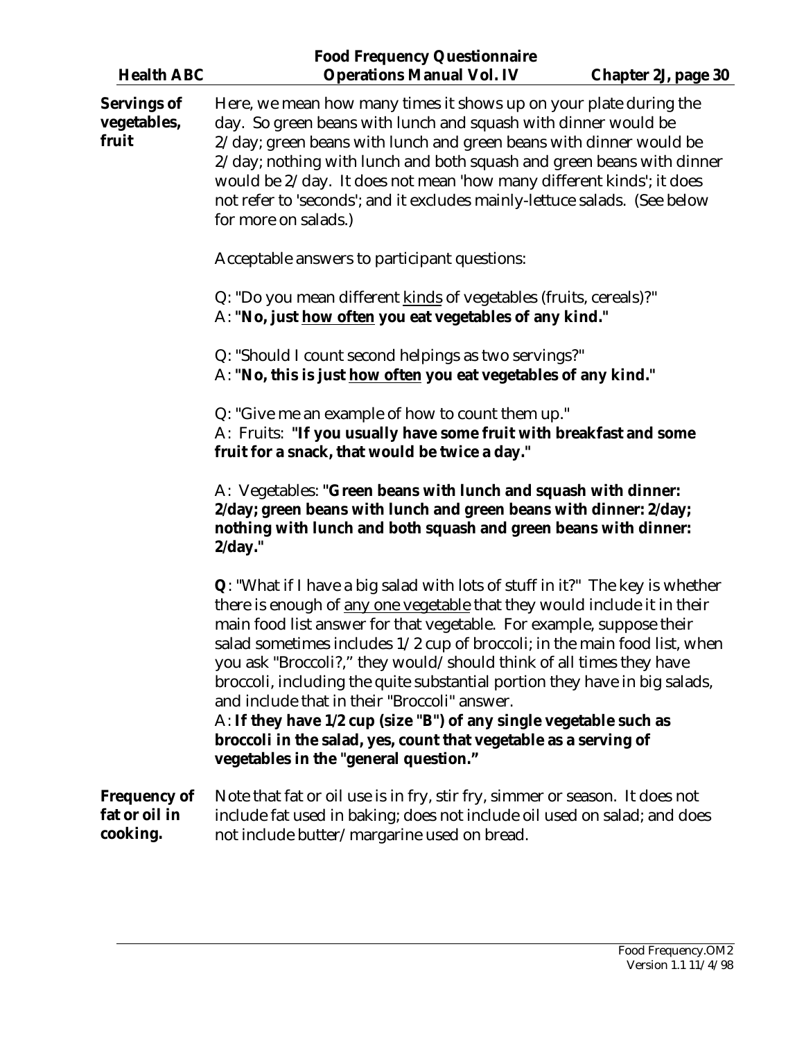| <b>Health ABC</b>                                | <b>Food Frequency Questionnaire</b><br><b>Operations Manual Vol. IV</b>                                                                                                                                                                                                                                                                                                                                                                                                                                                                                                                                                                                                                                         | <b>Chapter 2J, page 30</b> |
|--------------------------------------------------|-----------------------------------------------------------------------------------------------------------------------------------------------------------------------------------------------------------------------------------------------------------------------------------------------------------------------------------------------------------------------------------------------------------------------------------------------------------------------------------------------------------------------------------------------------------------------------------------------------------------------------------------------------------------------------------------------------------------|----------------------------|
| <b>Servings of</b><br>vegetables,<br>fruit       | Here, we mean how many times it shows up on your plate during the<br>day. So green beans with lunch and squash with dinner would be<br>2/day; green beans with lunch and green beans with dinner would be<br>2/day; nothing with lunch and both squash and green beans with dinner<br>would be 2/day. It does not mean 'how many different kinds'; it does<br>not refer to 'seconds'; and it excludes mainly-lettuce salads. (See below<br>for more on salads.)                                                                                                                                                                                                                                                 |                            |
|                                                  | Acceptable answers to participant questions:                                                                                                                                                                                                                                                                                                                                                                                                                                                                                                                                                                                                                                                                    |                            |
|                                                  | Q: "Do you mean different kinds of vegetables (fruits, cereals)?"<br>A: "No, just how often you eat vegetables of any kind."                                                                                                                                                                                                                                                                                                                                                                                                                                                                                                                                                                                    |                            |
|                                                  | Q: "Should I count second helpings as two servings?"<br>A: "No, this is just how often you eat vegetables of any kind."                                                                                                                                                                                                                                                                                                                                                                                                                                                                                                                                                                                         |                            |
|                                                  | Q: "Give me an example of how to count them up."<br>A: Fruits: "If you usually have some fruit with breakfast and some<br>fruit for a snack, that would be twice a day."                                                                                                                                                                                                                                                                                                                                                                                                                                                                                                                                        |                            |
|                                                  | A: Vegetables: "Green beans with lunch and squash with dinner:<br>2/day; green beans with lunch and green beans with dinner: 2/day;<br>nothing with lunch and both squash and green beans with dinner:<br>$2/day.$ "                                                                                                                                                                                                                                                                                                                                                                                                                                                                                            |                            |
|                                                  | <b>Q</b> : "What if I have a big salad with lots of stuff in it?" The key is whether<br>there is enough of any one vegetable that they would include it in their<br>main food list answer for that vegetable. For example, suppose their<br>salad sometimes includes $1/2$ cup of broccoli; in the main food list, when<br>you ask "Broccoli?," they would/should think of all times they have<br>broccoli, including the quite substantial portion they have in big salads,<br>and include that in their "Broccoli" answer.<br>A: If they have 1/2 cup (size "B") of any single vegetable such as<br>broccoli in the salad, yes, count that vegetable as a serving of<br>vegetables in the "general question." |                            |
| <b>Frequency of</b><br>fat or oil in<br>cooking. | Note that fat or oil use is in fry, stir fry, simmer or season. It does not<br>include fat used in baking; does not include oil used on salad; and does<br>not include butter/margarine used on bread.                                                                                                                                                                                                                                                                                                                                                                                                                                                                                                          |                            |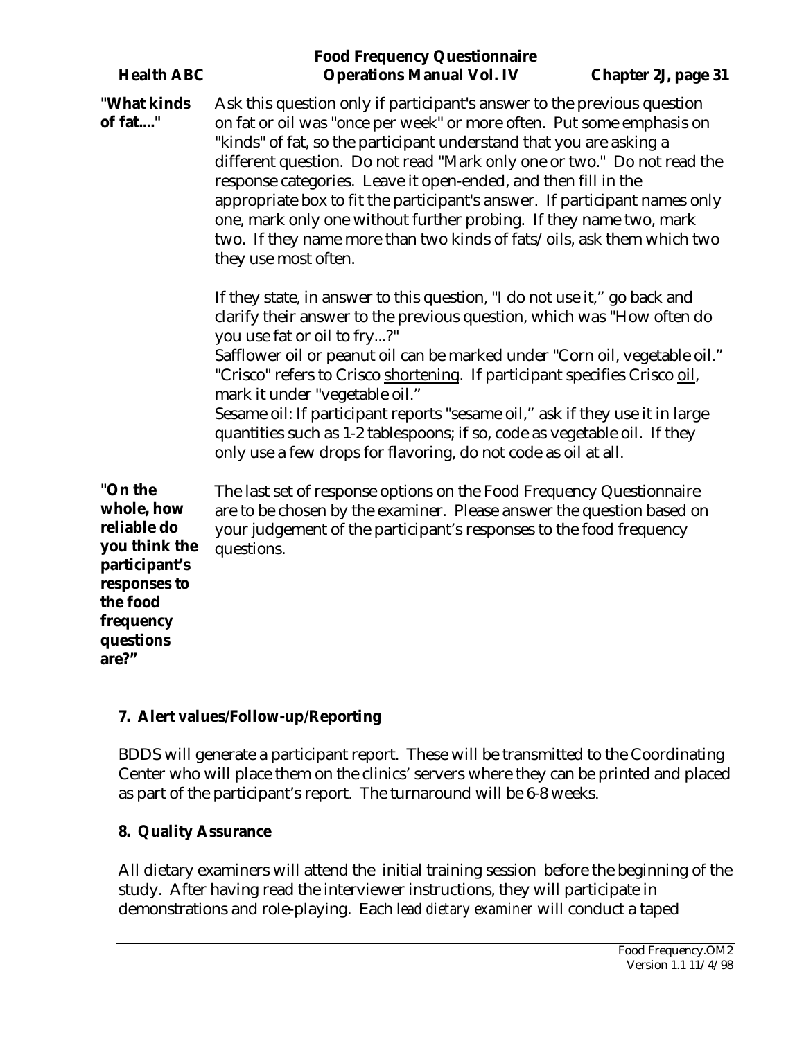<span id="page-30-0"></span>

| <b>Health ABC</b>                                                                                                                     | <b>Food Frequency Questionnaire</b><br><b>Operations Manual Vol. IV</b>                                                                                                                                                                                                                                                                                                                                                                                                                                                                                                                                                    | <b>Chapter 2J, page 31</b> |
|---------------------------------------------------------------------------------------------------------------------------------------|----------------------------------------------------------------------------------------------------------------------------------------------------------------------------------------------------------------------------------------------------------------------------------------------------------------------------------------------------------------------------------------------------------------------------------------------------------------------------------------------------------------------------------------------------------------------------------------------------------------------------|----------------------------|
|                                                                                                                                       |                                                                                                                                                                                                                                                                                                                                                                                                                                                                                                                                                                                                                            |                            |
| "What kinds<br>of fat"                                                                                                                | Ask this question only if participant's answer to the previous question<br>on fat or oil was "once per week" or more often. Put some emphasis on<br>"kinds" of fat, so the participant understand that you are asking a<br>different question. Do not read "Mark only one or two." Do not read the<br>response categories. Leave it open-ended, and then fill in the<br>appropriate box to fit the participant's answer. If participant names only<br>one, mark only one without further probing. If they name two, mark<br>two. If they name more than two kinds of fats/oils, ask them which two<br>they use most often. |                            |
|                                                                                                                                       | If they state, in answer to this question, "I do not use it," go back and<br>clarify their answer to the previous question, which was "How often do<br>you use fat or oil to fry?"<br>Safflower oil or peanut oil can be marked under "Corn oil, vegetable oil."<br>"Crisco" refers to Crisco shortening. If participant specifies Crisco oil,<br>mark it under "vegetable oil."<br>Sesame oil: If participant reports "sesame oil," ask if they use it in large<br>quantities such as 1-2 tablespoons; if so, code as vegetable oil. If they<br>only use a few drops for flavoring, do not code as oil at all.            |                            |
| "On the<br>whole, how<br>reliable do<br>you think the<br>participant's<br>responses to<br>the food<br>frequency<br>questions<br>are?" | The last set of response options on the Food Frequency Questionnaire<br>are to be chosen by the examiner. Please answer the question based on<br>your judgement of the participant's responses to the food frequency<br>questions.                                                                                                                                                                                                                                                                                                                                                                                         |                            |

## **7. Alert values/Follow-up/Reporting**

BDDS will generate a participant report. These will be transmitted to the Coordinating Center who will place them on the clinics' servers where they can be printed and placed as part of the participant's report. The turnaround will be 6-8 weeks.

#### **8. Quality Assurance**

All dietary examiners will attend the initial training session before the beginning of the study. After having read the interviewer instructions, they will participate in demonstrations and role-playing. Each *lead dietary examiner* will conduct a taped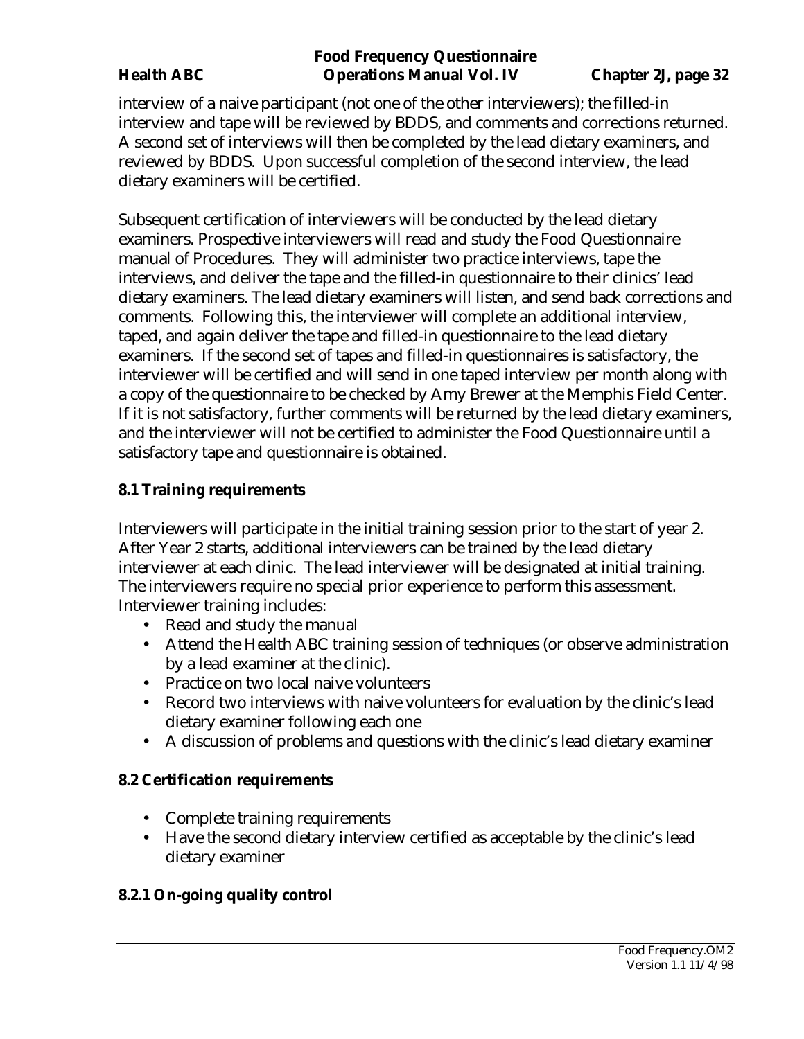<span id="page-31-0"></span>interview of a naive participant (not one of the other interviewers); the filled-in interview and tape will be reviewed by BDDS, and comments and corrections returned. A second set of interviews will then be completed by the lead dietary examiners, and reviewed by BDDS. Upon successful completion of the second interview, the lead dietary examiners will be certified.

Subsequent certification of interviewers will be conducted by the lead dietary examiners. Prospective interviewers will read and study the Food Questionnaire manual of Procedures. They will administer two practice interviews, tape the interviews, and deliver the tape and the filled-in questionnaire to their clinics' lead dietary examiners. The lead dietary examiners will listen, and send back corrections and comments. Following this, the interviewer will complete an additional interview, taped, and again deliver the tape and filled-in questionnaire to the lead dietary examiners. If the second set of tapes and filled-in questionnaires is satisfactory, the interviewer will be certified and will send in one taped interview per month along with a copy of the questionnaire to be checked by Amy Brewer at the Memphis Field Center. If it is not satisfactory, further comments will be returned by the lead dietary examiners, and the interviewer will not be certified to administer the Food Questionnaire until a satisfactory tape and questionnaire is obtained.

#### **8.1 Training requirements**

Interviewers will participate in the initial training session prior to the start of year 2. After Year 2 starts, additional interviewers can be trained by the lead dietary interviewer at each clinic. The lead interviewer will be designated at initial training. The interviewers require no special prior experience to perform this assessment. Interviewer training includes:

- Read and study the manual
- Attend the Health ABC training session of techniques (or observe administration by a lead examiner at the clinic).
- Practice on two local naive volunteers
- Record two interviews with naive volunteers for evaluation by the clinic's lead dietary examiner following each one
- A discussion of problems and questions with the clinic's lead dietary examiner

#### **8.2 Certification requirements**

- Complete training requirements
- Have the second dietary interview certified as acceptable by the clinic's lead dietary examiner

#### **8.2.1 On-going quality control**